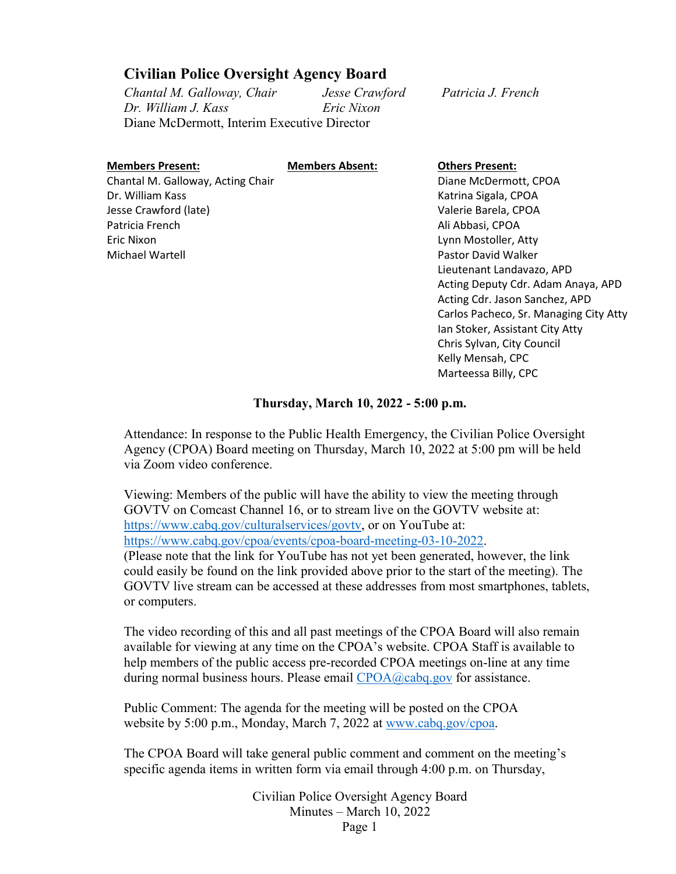## **Civilian Police Oversight Agency Board**

*Chantal M. Galloway, Chair Jesse Crawford Patricia J. French Dr. William J. Kass Eric Nixon*  Diane McDermott, Interim Executive Director

| <b>Members Present:</b>           |
|-----------------------------------|
| Chantal M. Galloway, Acting Chair |
| Dr. William Kass                  |
| Jesse Crawford (late)             |
| Patricia French                   |
| Eric Nixon                        |
| Michael Wartell                   |

**Members Absent: Others Present:** Diane McDermott, CPOA Katrina Sigala, CPOA Valerie Barela, CPOA Ali Abbasi, CPOA Lynn Mostoller, Atty Pastor David Walker Lieutenant Landavazo, APD Acting Deputy Cdr. Adam Anaya, APD Acting Cdr. Jason Sanchez, APD Carlos Pacheco, Sr. Managing City Atty Ian Stoker, Assistant City Atty Chris Sylvan, City Council Kelly Mensah, CPC Marteessa Billy, CPC

#### **Thursday, March 10, 2022 - 5:00 p.m.**

Attendance: In response to the Public Health Emergency, the Civilian Police Oversight Agency (CPOA) Board meeting on Thursday, March 10, 2022 at 5:00 pm will be held via Zoom video conference.

Viewing: Members of the public will have the ability to view the meeting through GOVTV on Comcast Channel 16, or to stream live on the GOVTV website at: [https://www.cabq.gov/culturalservices/govtv,](https://www.cabq.gov/culturalservices/govtv) or on YouTube at: [https://www.cabq.gov/cpoa/events/cpoa-board-meeting-03-10-2022.](https://www.cabq.gov/cpoa/events/cpoa-board-meeting-03-10-2022) (Please note that the link for YouTube has not yet been generated, however, the link could easily be found on the link provided above prior to the start of the meeting). The GOVTV live stream can be accessed at these addresses from most smartphones, tablets, or computers.

The video recording of this and all past meetings of the CPOA Board will also remain available for viewing at any time on the CPOA's website. CPOA Staff is available to help members of the public access pre-recorded CPOA meetings on-line at any time during normal business hours. Please email [CPOA@cabq.gov](mailto:CPOA@cabq.gov?subject=CPOA%20Board%20Meeting%20Assistance%2004-09-2020) for assistance.

Public Comment: The agenda for the meeting will be posted on the CPOA website by 5:00 p.m., Monday, March 7, 2022 at [www.cabq.gov/cpoa.](http://www.cabq.gov/cpoa)

The CPOA Board will take general public comment and comment on the meeting's specific agenda items in written form via email through 4:00 p.m. on Thursday,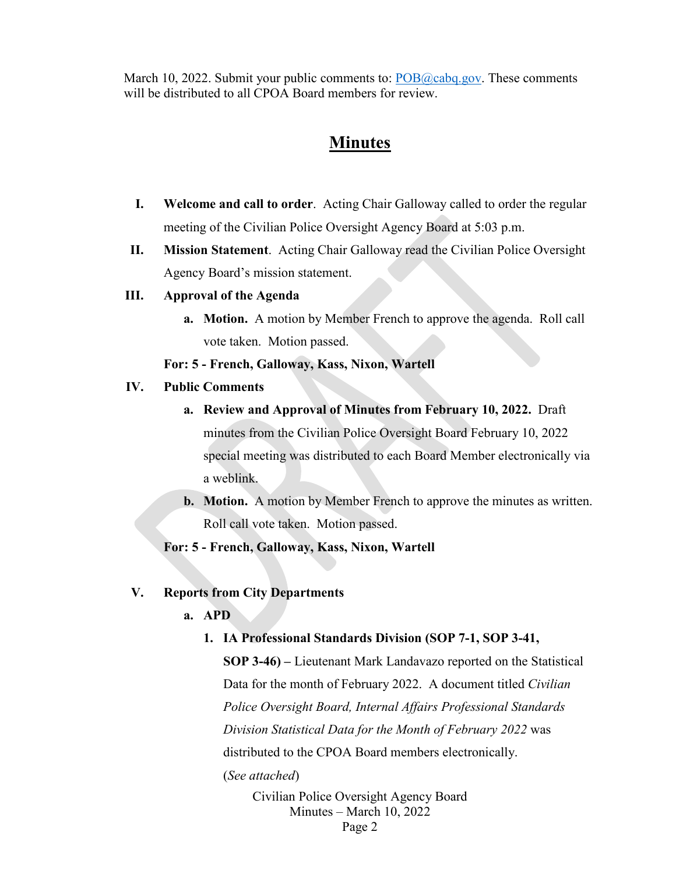March 10, 2022. Submit your public comments to: [POB@cabq.gov.](mailto:POB@cabq.gov?subject=Public%20Comment:%20CPOA%20Board%20Meeting%2004-09-2020) These comments will be distributed to all CPOA Board members for review.

## **Minutes**

- **I. Welcome and call to order**. Acting Chair Galloway called to order the regular meeting of the Civilian Police Oversight Agency Board at 5:03 p.m.
- **II. Mission Statement**.Acting Chair Galloway read the Civilian Police Oversight Agency Board's mission statement.

#### **III. Approval of the Agenda**

**a. Motion.** A motion by Member French to approve the agenda. Roll call vote taken. Motion passed.

#### **For: 5 - French, Galloway, Kass, Nixon, Wartell**

#### **IV. Public Comments**

- **a. Review and Approval of Minutes from February 10, 2022.** Draft minutes from the Civilian Police Oversight Board February 10, 2022 special meeting was distributed to each Board Member electronically via a weblink.
- **b. Motion.** A motion by Member French to approve the minutes as written. Roll call vote taken. Motion passed.

**For: 5 - French, Galloway, Kass, Nixon, Wartell**

#### **V. Reports from City Departments**

#### **a. APD**

**1. IA Professional Standards Division (SOP 7-1, SOP 3-41,** 

**SOP 3-46) –** Lieutenant Mark Landavazo reported on the Statistical Data for the month of February 2022. A document titled *Civilian Police Oversight Board, Internal Affairs Professional Standards Division Statistical Data for the Month of February 2022* was distributed to the CPOA Board members electronically. (*See attached*)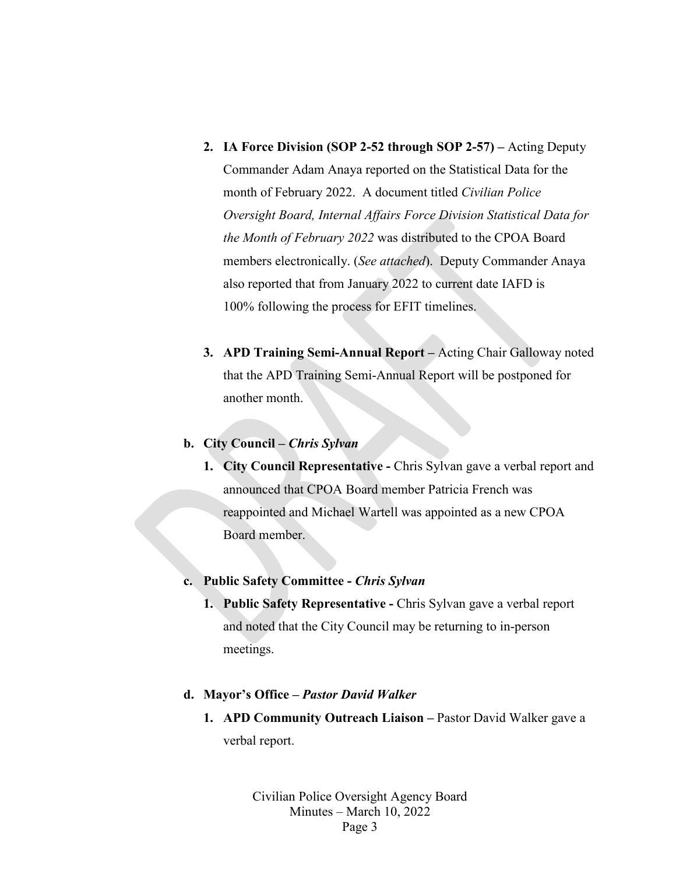- **2. IA Force Division (SOP 2-52 through SOP 2-57) –** Acting Deputy Commander Adam Anaya reported on the Statistical Data for the month of February 2022. A document titled *Civilian Police Oversight Board, Internal Affairs Force Division Statistical Data for the Month of February 2022* was distributed to the CPOA Board members electronically. (*See attached*). Deputy Commander Anaya also reported that from January 2022 to current date IAFD is 100% following the process for EFIT timelines.
- **3. APD Training Semi-Annual Report** *–* Acting Chair Galloway noted that the APD Training Semi-Annual Report will be postponed for another month.

#### **b. City Council –** *Chris Sylvan*

**1. City Council Representative -** Chris Sylvan gave a verbal report and announced that CPOA Board member Patricia French was reappointed and Michael Wartell was appointed as a new CPOA Board member.

#### **c. Public Safety Committee -** *Chris Sylvan*

**1. Public Safety Representative -** Chris Sylvan gave a verbal report and noted that the City Council may be returning to in-person meetings.

#### **d. Mayor's Office –** *Pastor David Walker*

**1. APD Community Outreach Liaison –** Pastor David Walker gave a verbal report.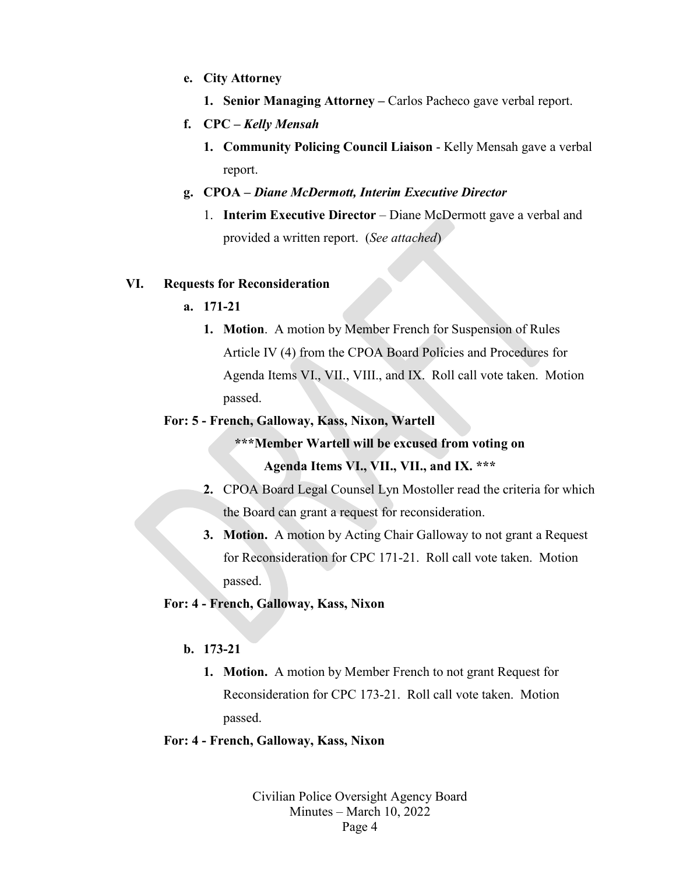- **e. City Attorney**
	- **1. Senior Managing Attorney –** Carlos Pacheco gave verbal report.
- **f. CPC –** *Kelly Mensah*
	- **1. Community Policing Council Liaison** Kelly Mensah gave a verbal report.
- **g. CPOA –** *Diane McDermott, Interim Executive Director*
	- 1. **Interim Executive Director** Diane McDermott gave a verbal and provided a written report. (*See attached*)

#### **VI. Requests for Reconsideration**

#### **a. 171-21**

**1. Motion**. A motion by Member French for Suspension of Rules Article IV (4) from the CPOA Board Policies and Procedures for Agenda Items VI., VII., VIII., and IX. Roll call vote taken. Motion passed.

#### **For: 5 - French, Galloway, Kass, Nixon, Wartell**

**\*\*\*Member Wartell will be excused from voting on** 

#### **Agenda Items VI., VII., VII., and IX. \*\*\***

- **2.** CPOA Board Legal Counsel Lyn Mostoller read the criteria for which the Board can grant a request for reconsideration.
- **3. Motion.** A motion by Acting Chair Galloway to not grant a Request for Reconsideration for CPC 171-21. Roll call vote taken. Motion passed.

#### **For: 4 - French, Galloway, Kass, Nixon**

#### **b. 173-21**

**1. Motion.** A motion by Member French to not grant Request for Reconsideration for CPC 173-21. Roll call vote taken. Motion passed.

#### **For: 4 - French, Galloway, Kass, Nixon**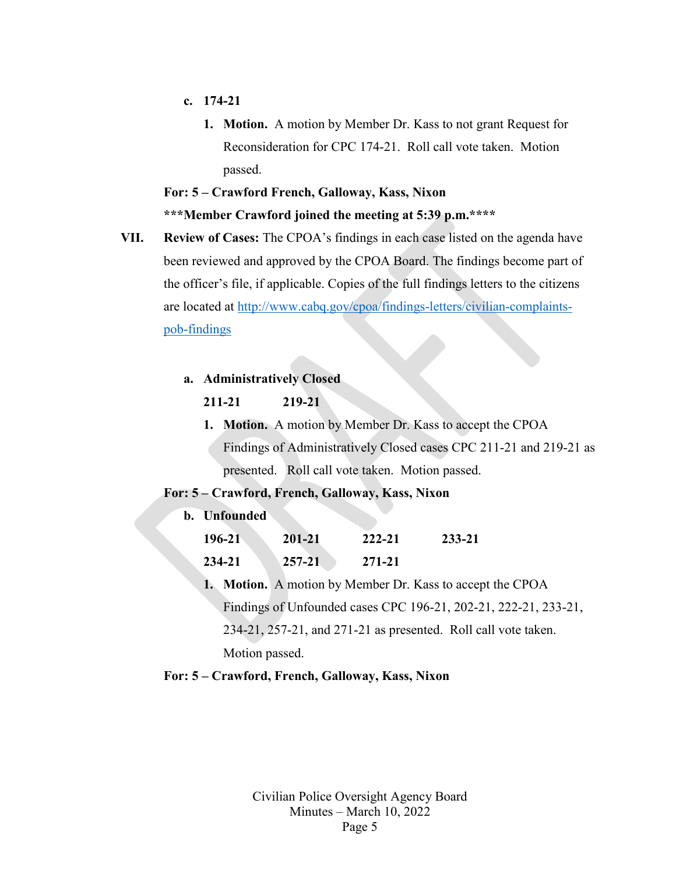- **c. 174-21**
	- **1. Motion.** A motion by Member Dr. Kass to not grant Request for Reconsideration for CPC 174-21. Roll call vote taken. Motion passed.

## **For: 5 – Crawford French, Galloway, Kass, Nixon \*\*\*Member Crawford joined the meeting at 5:39 p.m.\*\*\*\***

**VII. Review of Cases:** The CPOA's findings in each case listed on the agenda have been reviewed and approved by the CPOA Board. The findings become part of the officer's file, if applicable. Copies of the full findings letters to the citizens are located at [http://www.cabq.gov/cpoa/findings-letters/civilian-complaints](http://www.cabq.gov/cpoa/findings-letters/civilian-complaints-pob-findings)[pob-findings](http://www.cabq.gov/cpoa/findings-letters/civilian-complaints-pob-findings)

#### **a. Administratively Closed**

#### **211-21 219-21**

**1. Motion.** A motion by Member Dr. Kass to accept the CPOA Findings of Administratively Closed cases CPC 211-21 and 219-21 as presented. Roll call vote taken. Motion passed.

#### **For: 5 – Crawford, French, Galloway, Kass, Nixon**

| b. Unfounded |        |        |        |
|--------------|--------|--------|--------|
| 196-21       | 201-21 | 222-21 | 233-21 |
| 234-21       | 257-21 | 271-21 |        |

**1. Motion.** A motion by Member Dr. Kass to accept the CPOA Findings of Unfounded cases CPC 196-21, 202-21, 222-21, 233-21, 234-21, 257-21, and 271-21 as presented. Roll call vote taken. Motion passed.

#### **For: 5 – Crawford, French, Galloway, Kass, Nixon**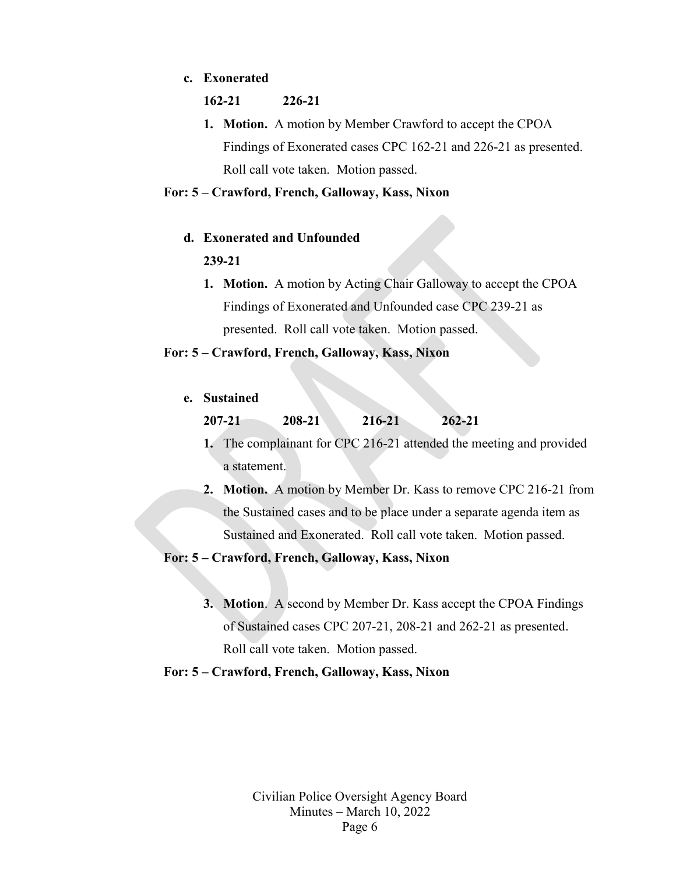#### **c. Exonerated**

#### **162-21 226-21**

**1. Motion.** A motion by Member Crawford to accept the CPOA Findings of Exonerated cases CPC 162-21 and 226-21 as presented. Roll call vote taken. Motion passed.

#### **For: 5 – Crawford, French, Galloway, Kass, Nixon**

#### **d. Exonerated and Unfounded**

#### **239-21**

**1. Motion.** A motion by Acting Chair Galloway to accept the CPOA Findings of Exonerated and Unfounded case CPC 239-21 as presented. Roll call vote taken. Motion passed.

#### **For: 5 – Crawford, French, Galloway, Kass, Nixon**

#### **e. Sustained**

- **1.** The complainant for CPC 216-21 attended the meeting and provided a statement.
- **2. Motion.** A motion by Member Dr. Kass to remove CPC 216-21 from the Sustained cases and to be place under a separate agenda item as Sustained and Exonerated. Roll call vote taken. Motion passed.

#### **For: 5 – Crawford, French, Galloway, Kass, Nixon**

**3. Motion**. A second by Member Dr. Kass accept the CPOA Findings of Sustained cases CPC 207-21, 208-21 and 262-21 as presented. Roll call vote taken. Motion passed.

#### **For: 5 – Crawford, French, Galloway, Kass, Nixon**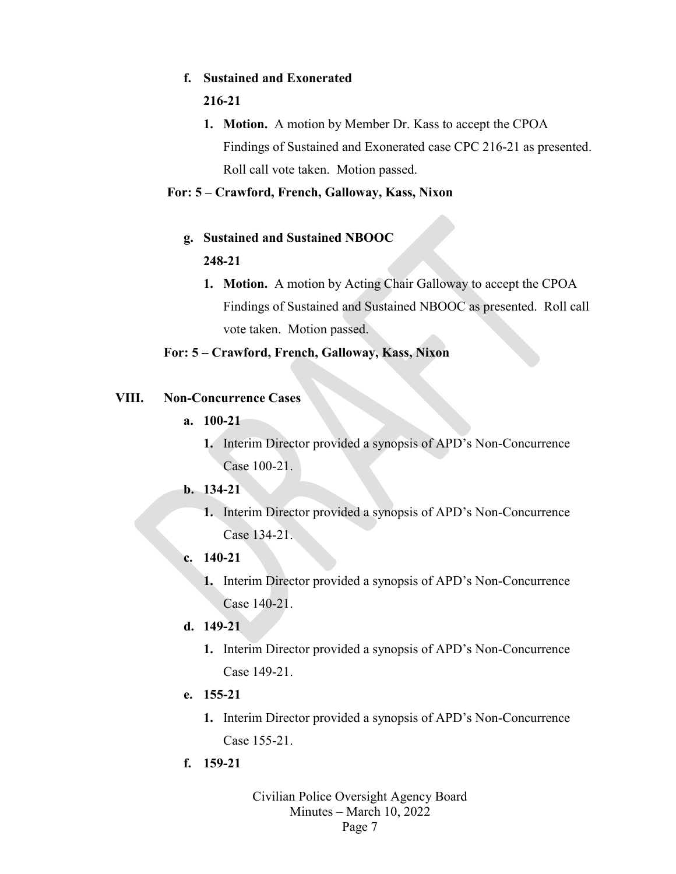#### **f. Sustained and Exonerated**

#### **216-21**

**1. Motion.** A motion by Member Dr. Kass to accept the CPOA Findings of Sustained and Exonerated case CPC 216-21 as presented. Roll call vote taken. Motion passed.

#### **For: 5 – Crawford, French, Galloway, Kass, Nixon**

- **g. Sustained and Sustained NBOOC 248-21**
	- **1. Motion.** A motion by Acting Chair Galloway to accept the CPOA Findings of Sustained and Sustained NBOOC as presented. Roll call vote taken. Motion passed.

#### **For: 5 – Crawford, French, Galloway, Kass, Nixon**

#### **VIII. Non-Concurrence Cases**

- **a. 100-21**
	- **1.** Interim Director provided a synopsis of APD's Non-Concurrence Case 100-21.
- **b. 134-21**
	- **1.** Interim Director provided a synopsis of APD's Non-Concurrence Case 134-21.
- **c. 140-21**
	- **1.** Interim Director provided a synopsis of APD's Non-Concurrence Case 140-21.
- **d. 149-21**
	- **1.** Interim Director provided a synopsis of APD's Non-Concurrence Case 149-21.
- **e. 155-21**
	- **1.** Interim Director provided a synopsis of APD's Non-Concurrence Case 155-21.
- **f. 159-21**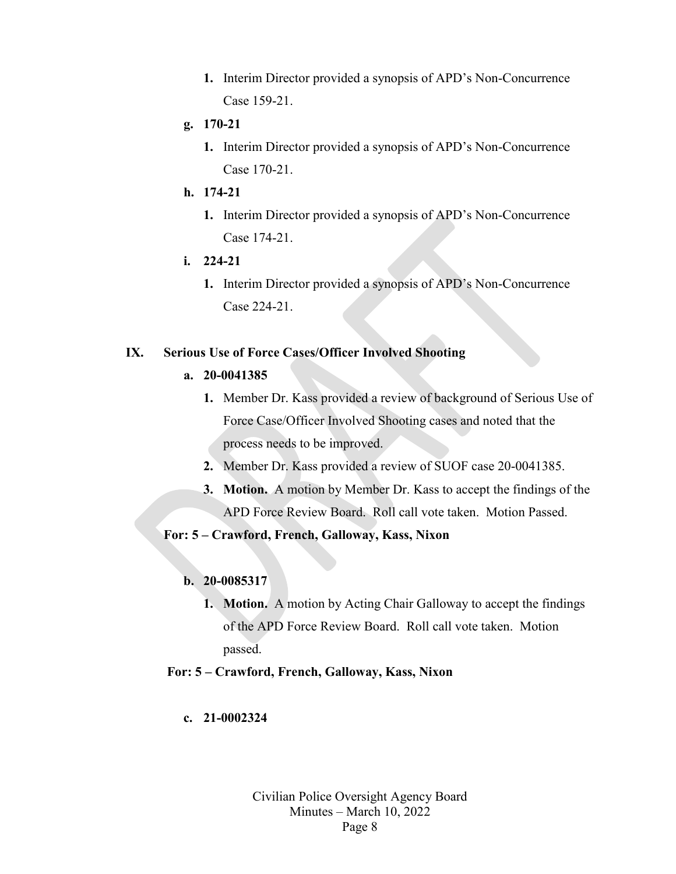- **1.** Interim Director provided a synopsis of APD's Non-Concurrence Case 159-21.
- **g. 170-21**
	- **1.** Interim Director provided a synopsis of APD's Non-Concurrence Case 170-21.
- **h. 174-21**
	- **1.** Interim Director provided a synopsis of APD's Non-Concurrence Case 174-21.
- **i. 224-21**
	- **1.** Interim Director provided a synopsis of APD's Non-Concurrence Case 224-21.

#### **IX. Serious Use of Force Cases/Officer Involved Shooting**

#### **a. 20-0041385**

- **1.** Member Dr. Kass provided a review of background of Serious Use of Force Case/Officer Involved Shooting cases and noted that the process needs to be improved.
- **2.** Member Dr. Kass provided a review of SUOF case 20-0041385.
- **3. Motion.** A motion by Member Dr. Kass to accept the findings of the APD Force Review Board. Roll call vote taken. Motion Passed.

#### **For: 5 – Crawford, French, Galloway, Kass, Nixon**

#### **b. 20-0085317**

- **1. Motion.** A motion by Acting Chair Galloway to accept the findings of the APD Force Review Board. Roll call vote taken. Motion passed.
- **For: 5 – Crawford, French, Galloway, Kass, Nixon**

#### **c. 21-0002324**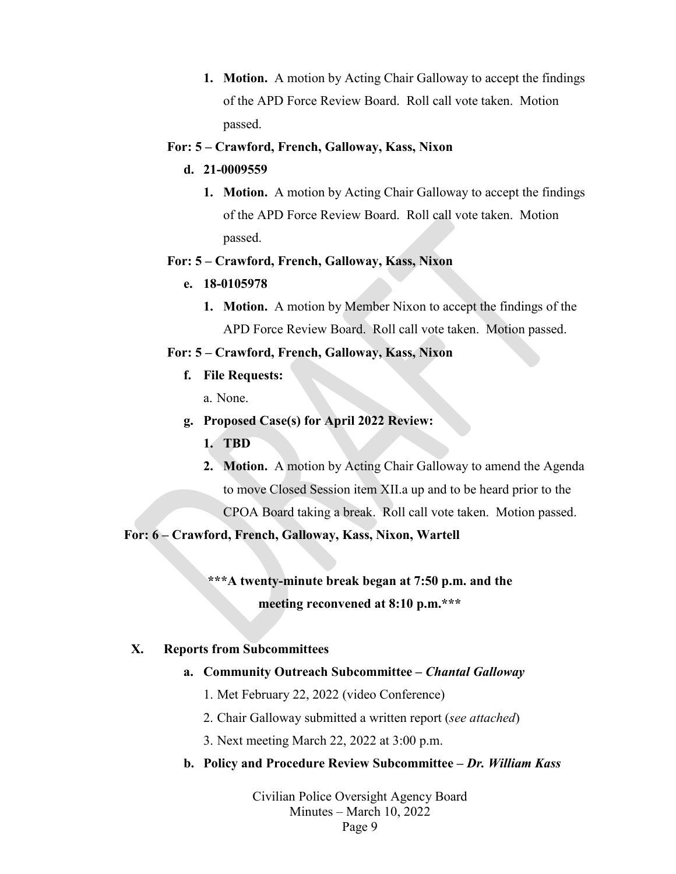**1. Motion.** A motion by Acting Chair Galloway to accept the findings of the APD Force Review Board. Roll call vote taken. Motion passed.

#### **For: 5 – Crawford, French, Galloway, Kass, Nixon**

- **d. 21-0009559**
	- **1. Motion.** A motion by Acting Chair Galloway to accept the findings of the APD Force Review Board. Roll call vote taken. Motion passed.

#### **For: 5 – Crawford, French, Galloway, Kass, Nixon**

- **e. 18-0105978**
	- **1. Motion.** A motion by Member Nixon to accept the findings of the APD Force Review Board. Roll call vote taken. Motion passed.

#### **For: 5 – Crawford, French, Galloway, Kass, Nixon**

**f. File Requests:**

a. None.

- **g. Proposed Case(s) for April 2022 Review:**
	- **1. TBD**
	- **2. Motion.** A motion by Acting Chair Galloway to amend the Agenda to move Closed Session item XII.a up and to be heard prior to the CPOA Board taking a break. Roll call vote taken.Motion passed.

#### **For: 6 – Crawford, French, Galloway, Kass, Nixon, Wartell**

## **\*\*\*A twenty-minute break began at 7:50 p.m. and the meeting reconvened at 8:10 p.m.\*\*\***

#### **X. Reports from Subcommittees**

#### **a. Community Outreach Subcommittee –** *Chantal Galloway*

- 1. Met February 22, 2022 (video Conference)
- 2. Chair Galloway submitted a written report (*see attached*)
- 3. Next meeting March 22, 2022 at 3:00 p.m.

#### **b. Policy and Procedure Review Subcommittee –** *Dr. William Kass*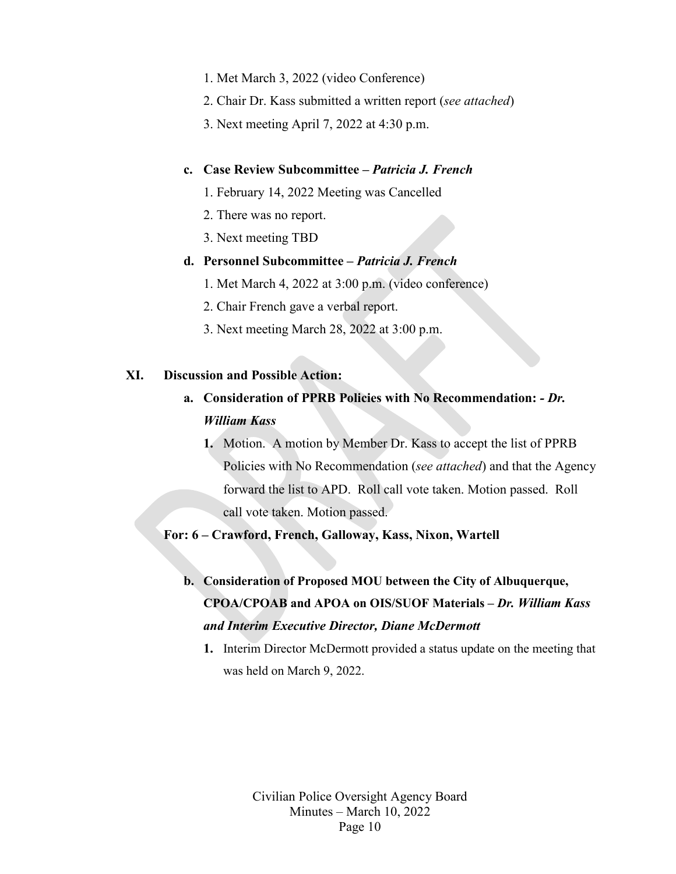- 1. Met March 3, 2022 (video Conference)
- 2. Chair Dr. Kass submitted a written report (*see attached*)
- 3. Next meeting April 7, 2022 at 4:30 p.m.

#### **c. Case Review Subcommittee –** *Patricia J. French*

- 1. February 14, 2022 Meeting was Cancelled
- 2. There was no report.
- 3. Next meeting TBD

#### **d. Personnel Subcommittee –** *Patricia J. French*

- 1. Met March 4, 2022 at 3:00 p.m. (video conference)
- 2. Chair French gave a verbal report.
- 3. Next meeting March 28, 2022 at 3:00 p.m.

#### **XI. Discussion and Possible Action:**

## **a. Consideration of PPRB Policies with No Recommendation:** *- Dr. William Kass*

**1.** Motion. A motion by Member Dr. Kass to accept the list of PPRB Policies with No Recommendation (*see attached*) and that the Agency forward the list to APD. Roll call vote taken. Motion passed. Roll call vote taken. Motion passed.

**For: 6 – Crawford, French, Galloway, Kass, Nixon, Wartell** 

- **b. Consideration of Proposed MOU between the City of Albuquerque, CPOA/CPOAB and APOA on OIS/SUOF Materials –** *Dr. William Kass and Interim Executive Director, Diane McDermott*
	- **1.** Interim Director McDermott provided a status update on the meeting that was held on March 9, 2022.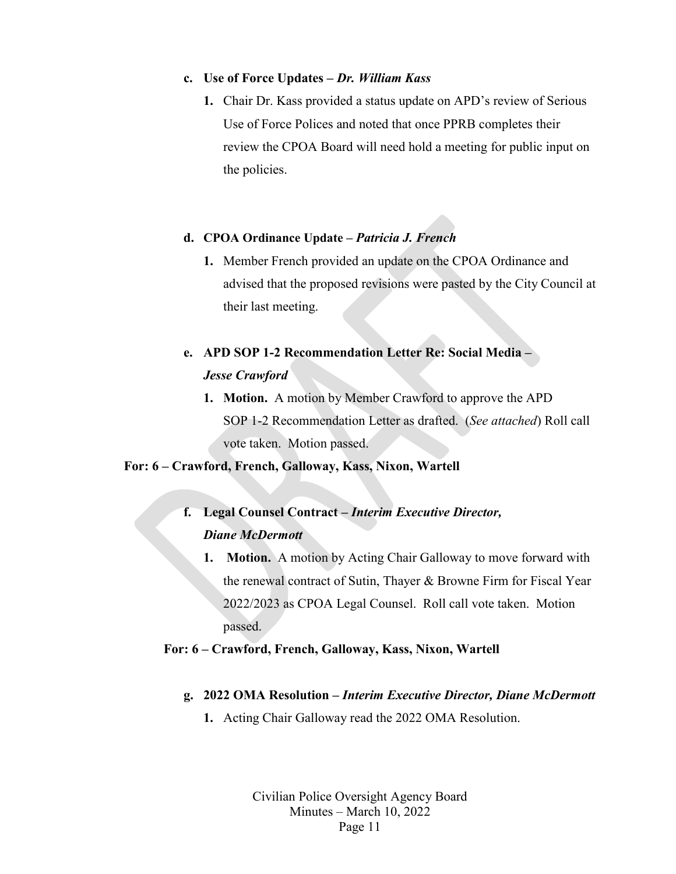#### **c. Use of Force Updates –** *Dr. William Kass*

**1.** Chair Dr. Kass provided a status update on APD's review of Serious Use of Force Polices and noted that once PPRB completes their review the CPOA Board will need hold a meeting for public input on the policies.

#### **d. CPOA Ordinance Update –** *Patricia J. French*

**1.** Member French provided an update on the CPOA Ordinance and advised that the proposed revisions were pasted by the City Council at their last meeting.

## **e. APD SOP 1-2 Recommendation Letter Re: Social Media –** *Jesse Crawford*

**1. Motion.** A motion by Member Crawford to approve the APD SOP 1-2 Recommendation Letter as drafted. (*See attached*) Roll call vote taken. Motion passed.

#### **For: 6 – Crawford, French, Galloway, Kass, Nixon, Wartell**

## **f. Legal Counsel Contract –** *Interim Executive Director, Diane McDermott*

**1. Motion.** A motion by Acting Chair Galloway to move forward with the renewal contract of Sutin, Thayer & Browne Firm for Fiscal Year 2022/2023 as CPOA Legal Counsel. Roll call vote taken. Motion passed.

#### **For: 6 – Crawford, French, Galloway, Kass, Nixon, Wartell**

#### **g. 2022 OMA Resolution –** *Interim Executive Director, Diane McDermott*

**1.** Acting Chair Galloway read the 2022 OMA Resolution.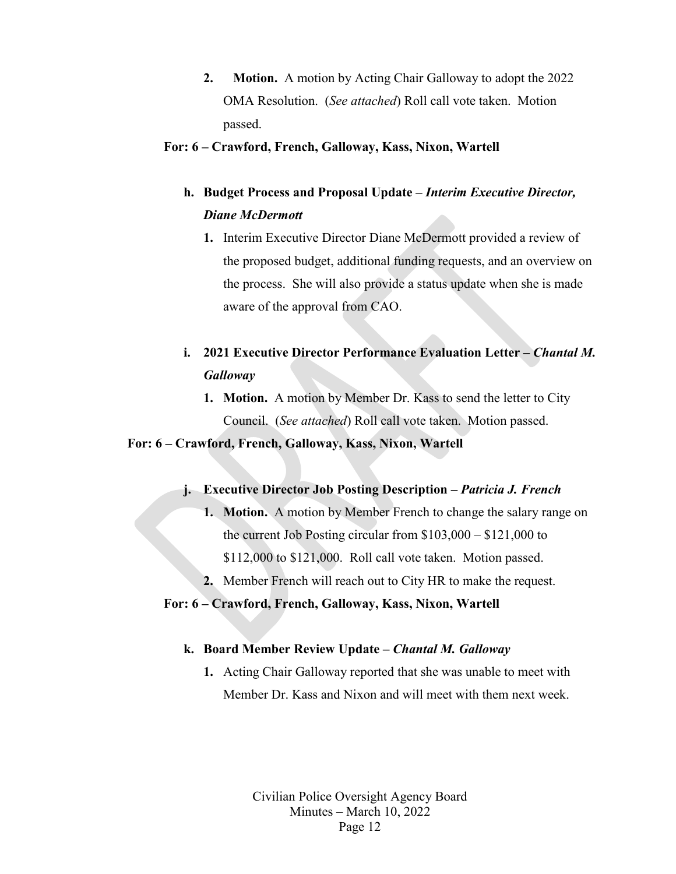**2. Motion.** A motion by Acting Chair Galloway to adopt the 2022 OMA Resolution. (*See attached*) Roll call vote taken. Motion passed.

#### **For: 6 – Crawford, French, Galloway, Kass, Nixon, Wartell**

## **h. Budget Process and Proposal Update –** *Interim Executive Director, Diane McDermott*

**1.** Interim Executive Director Diane McDermott provided a review of the proposed budget, additional funding requests, and an overview on the process. She will also provide a status update when she is made aware of the approval from CAO.

## **i. 2021 Executive Director Performance Evaluation Letter –** *Chantal M. Galloway*

**1. Motion.**A motion by Member Dr. Kass to send the letter to City Council. (*See attached*) Roll call vote taken. Motion passed.

#### **For: 6 – Crawford, French, Galloway, Kass, Nixon, Wartell**

#### **j. Executive Director Job Posting Description –** *Patricia J. French*

- **1. Motion.** A motion by Member French to change the salary range on the current Job Posting circular from \$103,000 – \$121,000 to \$112,000 to \$121,000. Roll call vote taken. Motion passed.
- **2.** Member French will reach out to City HR to make the request.

#### **For: 6 – Crawford, French, Galloway, Kass, Nixon, Wartell**

#### **k. Board Member Review Update –** *Chantal M. Galloway*

**1.** Acting Chair Galloway reported that she was unable to meet with Member Dr. Kass and Nixon and will meet with them next week.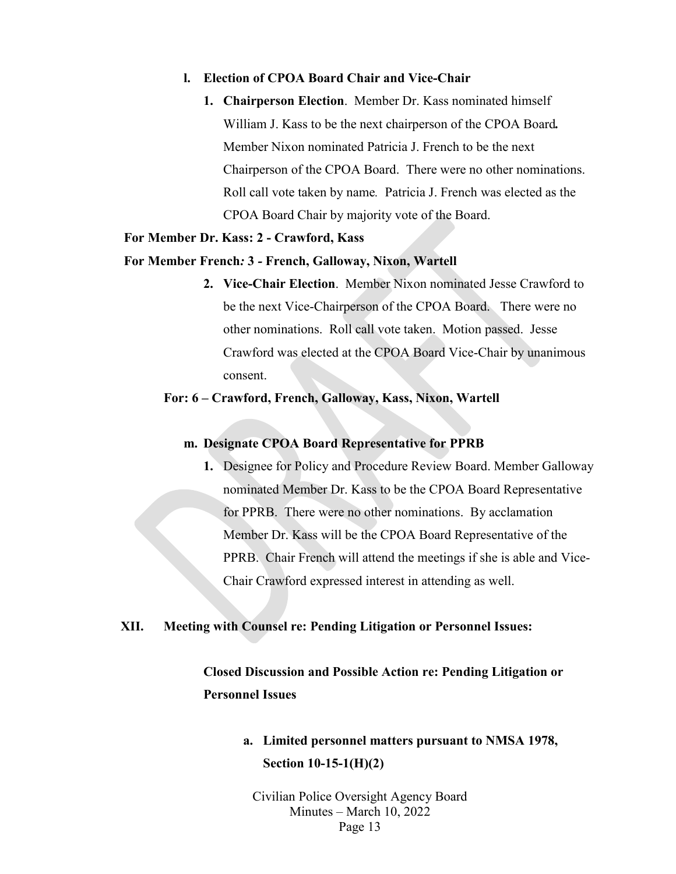#### **l. Election of CPOA Board Chair and Vice-Chair**

**1. Chairperson Election**. Member Dr. Kass nominated himself William J. Kass to be the next chairperson of the CPOA Board*.*  Member Nixon nominated Patricia J. French to be the next Chairperson of the CPOA Board. There were no other nominations. Roll call vote taken by name*.* Patricia J. French was elected as the CPOA Board Chair by majority vote of the Board.

#### **For Member Dr. Kass: 2 - Crawford, Kass**

#### **For Member French***:* **3** *-* **French, Galloway, Nixon, Wartell**

**2. Vice-Chair Election**. Member Nixon nominated Jesse Crawford to be the next Vice-Chairperson of the CPOA Board. There were no other nominations. Roll call vote taken. Motion passed. Jesse Crawford was elected at the CPOA Board Vice-Chair by unanimous consent.

#### **For: 6 – Crawford, French, Galloway, Kass, Nixon, Wartell**

#### **m. Designate CPOA Board Representative for PPRB**

**1.** Designee for Policy and Procedure Review Board. Member Galloway nominated Member Dr. Kass to be the CPOA Board Representative for PPRB. There were no other nominations. By acclamation Member Dr. Kass will be the CPOA Board Representative of the PPRB. Chair French will attend the meetings if she is able and Vice-Chair Crawford expressed interest in attending as well.

#### **XII. Meeting with Counsel re: Pending Litigation or Personnel Issues:**

## **Closed Discussion and Possible Action re: Pending Litigation or Personnel Issues**

## **a. Limited personnel matters pursuant to NMSA 1978, Section 10-15-1(H)(2)**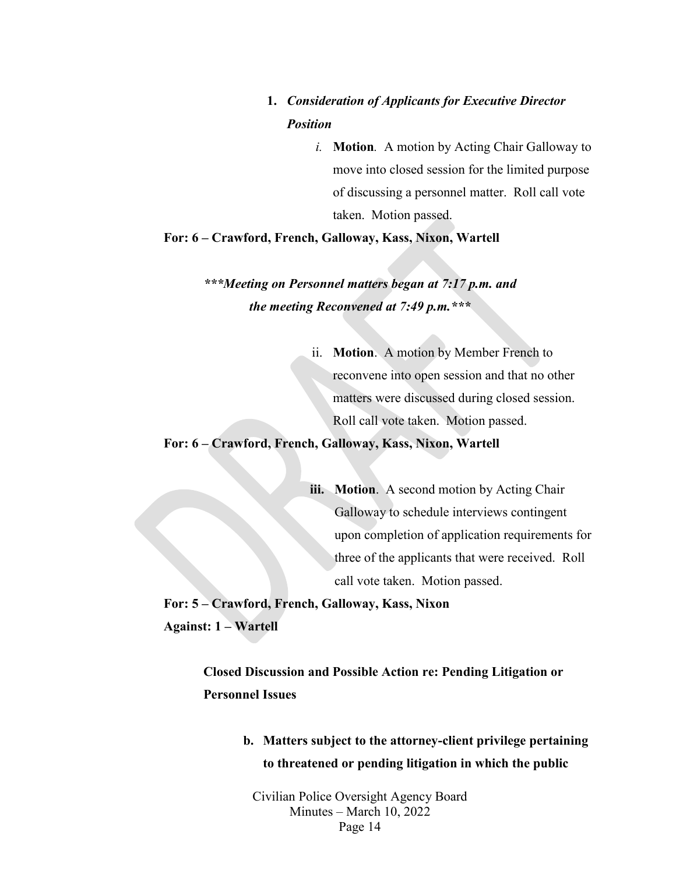## **1.** *Consideration of Applicants for Executive Director Position*

*i.* **Motion***.* A motion by Acting Chair Galloway to move into closed session for the limited purpose of discussing a personnel matter. Roll call vote taken. Motion passed.

**For: 6 – Crawford, French, Galloway, Kass, Nixon, Wartell** 

*\*\*\*Meeting on Personnel matters began at 7:17 p.m. and the meeting Reconvened at 7:49 p.m.\*\*\**

> ii. **Motion**.A motion by Member French to reconvene into open session and that no other matters were discussed during closed session. Roll call vote taken. Motion passed.

**For: 6 – Crawford, French, Galloway, Kass, Nixon, Wartell** 

**iii. Motion**. A second motion by Acting Chair Galloway to schedule interviews contingent upon completion of application requirements for three of the applicants that were received. Roll call vote taken. Motion passed.

**For: 5 – Crawford, French, Galloway, Kass, Nixon Against: 1 – Wartell** 

> **Closed Discussion and Possible Action re: Pending Litigation or Personnel Issues**

> > **b. Matters subject to the attorney-client privilege pertaining to threatened or pending litigation in which the public**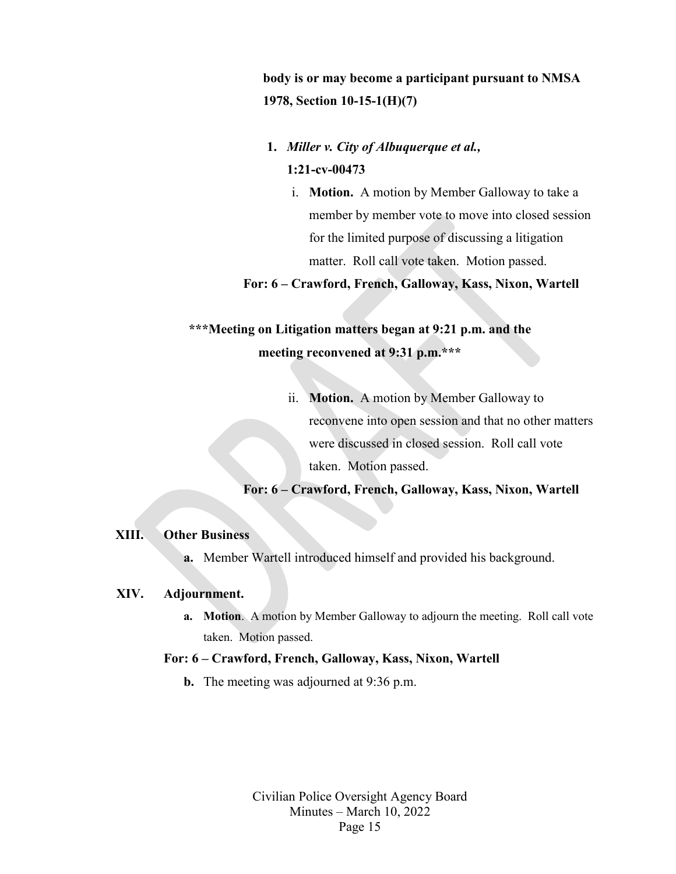**body is or may become a participant pursuant to NMSA 1978, Section 10-15-1(H)(7)**

- **1.** *Miller v. City of Albuquerque et al.,*  **1:21-cv-00473**
	- i. **Motion.** A motion by Member Galloway to take a member by member vote to move into closed session for the limited purpose of discussing a litigation matter. Roll call vote taken. Motion passed.

**For: 6 – Crawford, French, Galloway, Kass, Nixon, Wartell** 

## **\*\*\*Meeting on Litigation matters began at 9:21 p.m. and the meeting reconvened at 9:31 p.m.\*\*\***

ii. **Motion.** A motion by Member Galloway to reconvene into open session and that no other matters were discussed in closed session. Roll call vote taken. Motion passed.

**For: 6 – Crawford, French, Galloway, Kass, Nixon, Wartell** 

#### **XIII. Other Business**

**a.** Member Wartell introduced himself and provided his background.

#### **XIV. Adjournment.**

**a. Motion**. A motion by Member Galloway to adjourn the meeting. Roll call vote taken. Motion passed.

#### **For: 6 – Crawford, French, Galloway, Kass, Nixon, Wartell**

**b.** The meeting was adjourned at 9:36 p.m.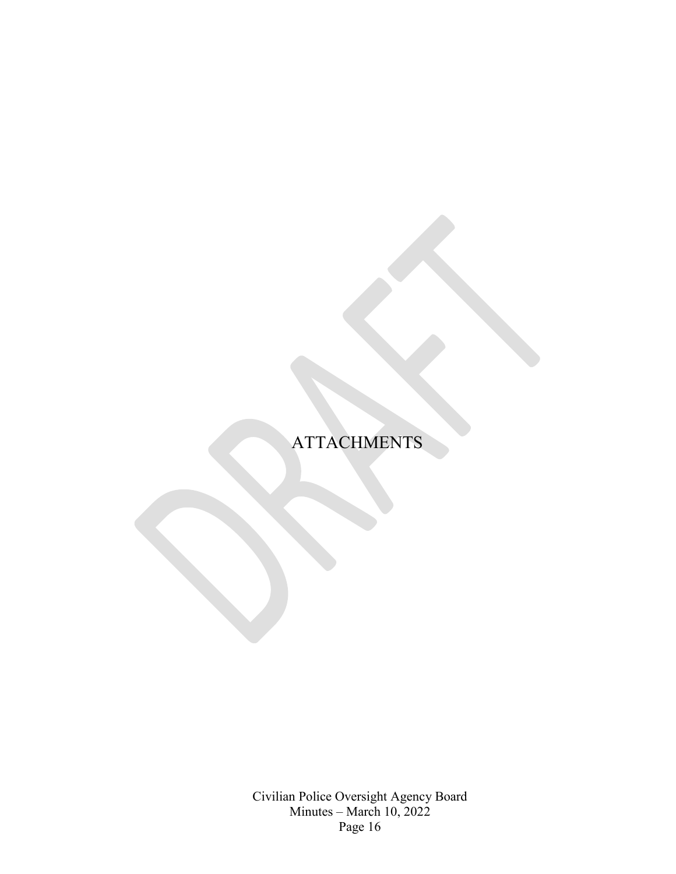## **ATTACHMENTS**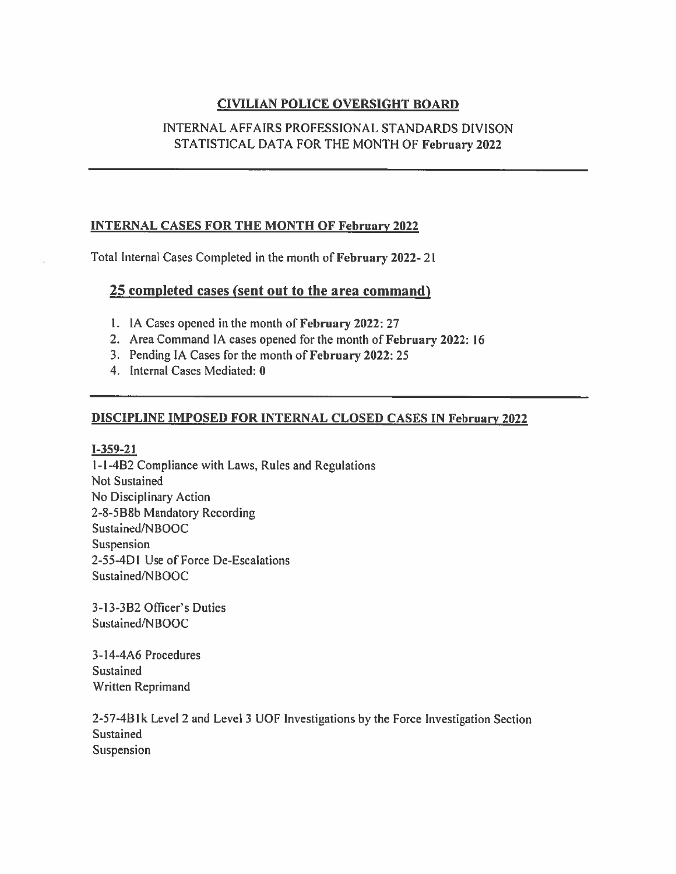### **CIVILIAN POLICE OVERSIGHT BOARD**

#### INTERNAL AFFAIRS PROFESSIONAL STANDARDS DIVISON STATISTICAL DATA FOR THE MONTH OF February 2022

#### **INTERNAL CASES FOR THE MONTH OF February 2022**

Total Internal Cases Completed in the month of February 2022-21

#### 25 completed cases (sent out to the area command)

- 1. IA Cases opened in the month of February 2022: 27
- 2. Area Command IA cases opened for the month of February 2022: 16
- 3. Pending IA Cases for the month of February 2022: 25
- 4. Internal Cases Mediated: 0

#### **DISCIPLINE IMPOSED FOR INTERNAL CLOSED CASES IN February 2022**

 $I - 359 - 21$ 

1-1-4B2 Compliance with Laws, Rules and Regulations **Not Sustained** No Disciplinary Action 2-8-5B8b Mandatory Recording Sustained/NBOOC Suspension 2-55-4D1 Use of Force De-Escalations Sustained/NBOOC

3-13-3B2 Officer's Duties Sustained/NBOOC

3-14-4A6 Procedures Sustained Written Reprimand

2-57-4B1k Level 2 and Level 3 UOF Investigations by the Force Investigation Section Sustained Suspension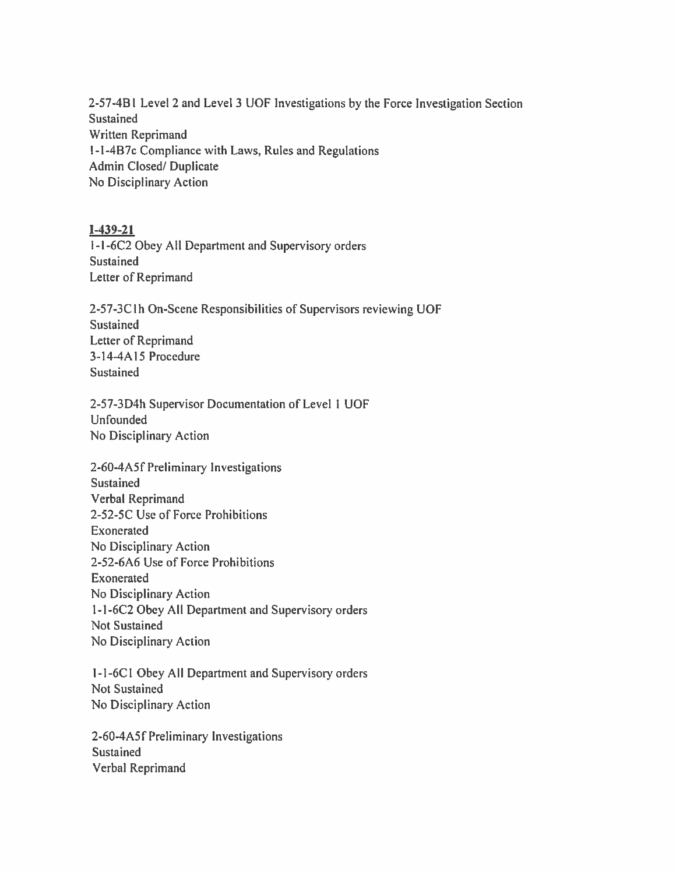2-57-4B1 Level 2 and Level 3 UOF Investigations by the Force Investigation Section Sustained Written Reprimand 1-1-4B7c Compliance with Laws, Rules and Regulations **Admin Closed/Duplicate** No Disciplinary Action

#### $I-439-21$

1-1-6C2 Obey All Department and Supervisory orders Sustained Letter of Reprimand

2-57-3C1h On-Scene Responsibilities of Supervisors reviewing UOF Sustained Letter of Reprimand 3-14-4A15 Procedure Sustained

2-57-3D4h Supervisor Documentation of Level 1 UOF **Unfounded** No Disciplinary Action

2-60-4A5f Preliminary Investigations Sustained **Verbal Reprimand** 2-52-5C Use of Force Prohibitions Exonerated No Disciplinary Action 2-52-6A6 Use of Force Prohibitions Exonerated No Disciplinary Action 1-1-6C2 Obey All Department and Supervisory orders **Not Sustained** No Disciplinary Action

1-1-6C1 Obey All Department and Supervisory orders **Not Sustained** No Disciplinary Action

2-60-4A5f Preliminary Investigations Sustained Verbal Reprimand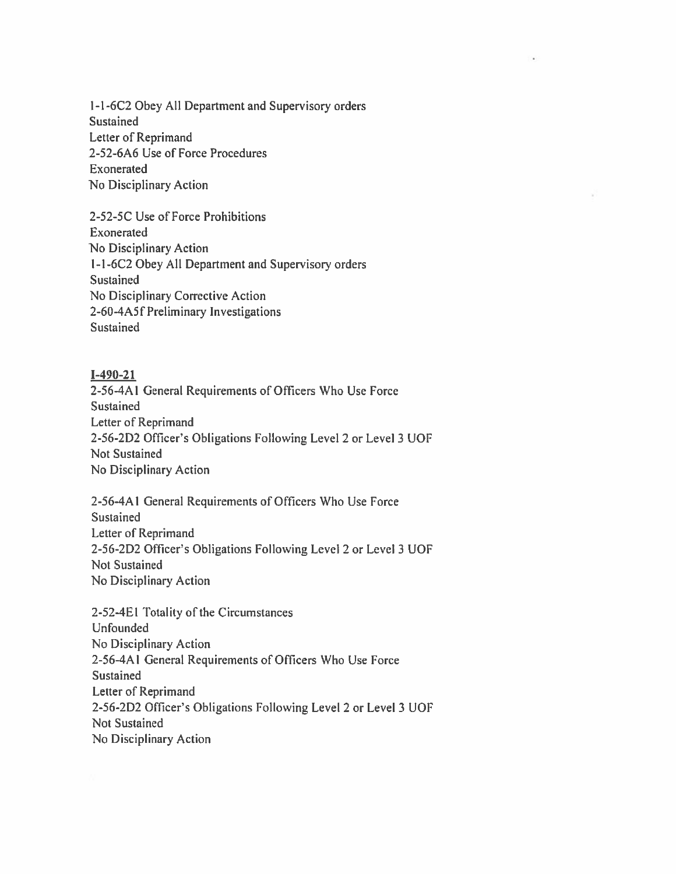1-1-6C2 Obey All Department and Supervisory orders Sustained Letter of Reprimand 2-52-6A6 Use of Force Procedures Exonerated No Disciplinary Action

2-52-5C Use of Force Prohibitions Exonerated No Disciplinary Action 1-1-6C2 Obey All Department and Supervisory orders Sustained No Disciplinary Corrective Action 2-60-4A5f Preliminary Investigations Sustained

#### $I-490-21$

2-56-4A1 General Requirements of Officers Who Use Force Sustained Letter of Reprimand 2-56-2D2 Officer's Obligations Following Level 2 or Level 3 UOF Not Sustained No Disciplinary Action

2-56-4A1 General Requirements of Officers Who Use Force Sustained Letter of Reprimand 2-56-2D2 Officer's Obligations Following Level 2 or Level 3 UOF **Not Sustained** No Disciplinary Action

2-52-4E1 Totality of the Circumstances Unfounded No Disciplinary Action 2-56-4A1 General Requirements of Officers Who Use Force Sustained Letter of Reprimand 2-56-2D2 Officer's Obligations Following Level 2 or Level 3 UOF Not Sustained No Disciplinary Action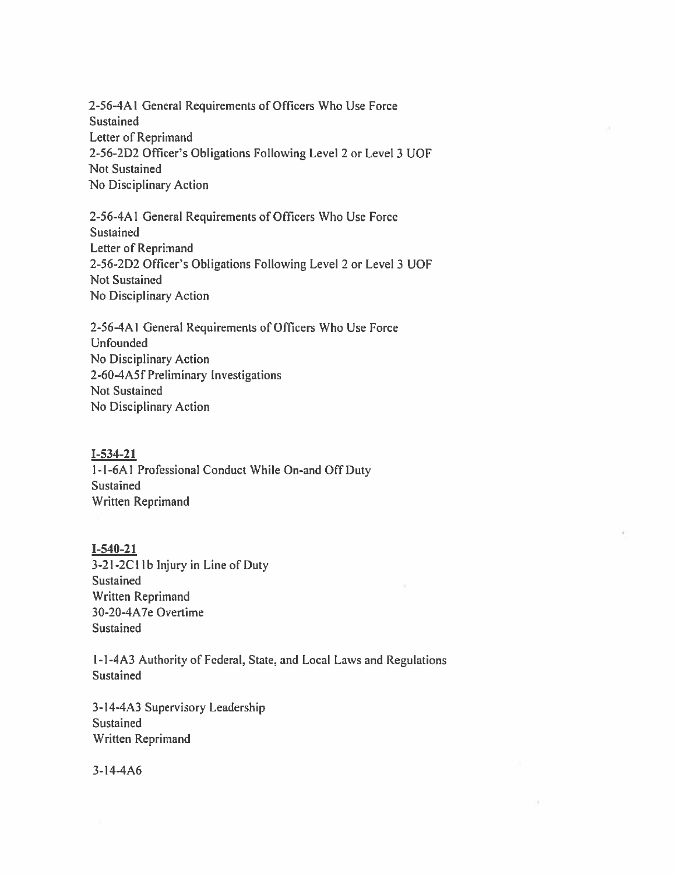2-56-4A1 General Requirements of Officers Who Use Force **Sustained** Letter of Reprimand 2-56-2D2 Officer's Obligations Following Level 2 or Level 3 UOF **Not Sustained** No Disciplinary Action

2-56-4A1 General Requirements of Officers Who Use Force Sustained **Letter of Reprimand** 2-56-2D2 Officer's Obligations Following Level 2 or Level 3 UOF **Not Sustained** No Disciplinary Action

2-56-4A1 General Requirements of Officers Who Use Force Unfounded No Disciplinary Action 2-60-4A5f Preliminary Investigations **Not Sustained** No Disciplinary Action

#### $I - 534 - 21$

1-1-6A1 Professional Conduct While On-and Off Duty Sustained Written Reprimand

#### $I-540-21$

3-21-2C11b Injury in Line of Duty **Sustained** Written Reprimand 30-20-4A7e Overtime **Sustained** 

1-1-4A3 Authority of Federal, State, and Local Laws and Regulations Sustained

3-14-4A3 Supervisory Leadership Sustained Written Reprimand

 $3 - 14 - 4A6$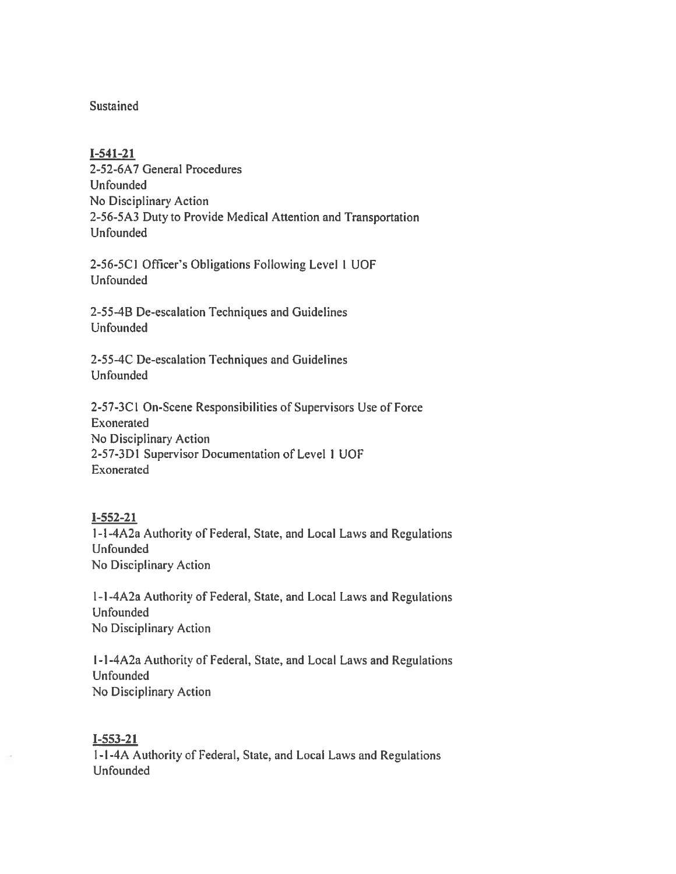#### Sustained

#### $I-541-21$

2-52-6A7 General Procedures Unfounded No Disciplinary Action 2-56-5A3 Duty to Provide Medical Attention and Transportation **Unfounded** 

2-56-5C1 Officer's Obligations Following Level 1 UOF Unfounded

2-55-4B De-escalation Techniques and Guidelines **Unfounded** 

2-55-4C De-escalation Techniques and Guidelines Unfounded

2-57-3C1 On-Scene Responsibilities of Supervisors Use of Force Exonerated No Disciplinary Action 2-57-3D1 Supervisor Documentation of Level 1 UOF Exonerated

#### $I-552-21$

1-1-4A2a Authority of Federal, State, and Local Laws and Regulations Unfounded No Disciplinary Action

1-1-4A2a Authority of Federal, State, and Local Laws and Regulations Unfounded No Disciplinary Action

1-1-4A2a Authority of Federal, State, and Local Laws and Regulations **Unfounded** No Disciplinary Action

#### $I - 553 - 21$

1-1-4A Authority of Federal, State, and Local Laws and Regulations Unfounded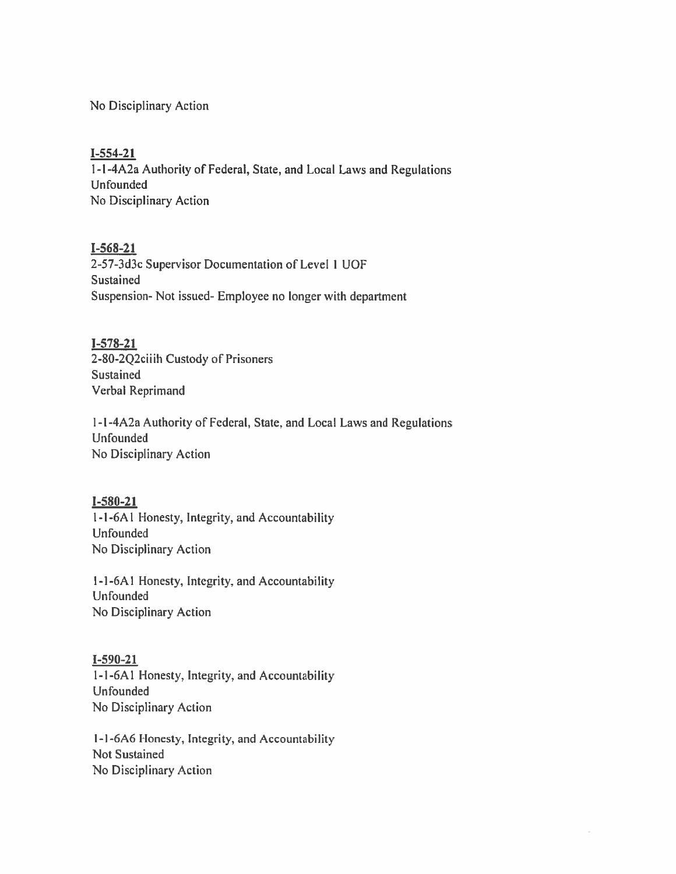No Disciplinary Action

#### $I-554-21$

1-1-4A2a Authority of Federal, State, and Local Laws and Regulations **Unfounded** No Disciplinary Action

#### $I - 568 - 21$

2-57-3d3c Supervisor Documentation of Level 1 UOF Sustained Suspension- Not issued- Employee no longer with department

#### $I-578-21$

2-80-2Q2ciiih Custody of Prisoners Sustained **Verbal Reprimand** 

1-1-4A2a Authority of Federal, State, and Local Laws and Regulations Unfounded No Disciplinary Action

#### $I - 580 - 21$

1-1-6A1 Honesty, Integrity, and Accountability Unfounded No Disciplinary Action

1-1-6A1 Honesty, Integrity, and Accountability **Unfounded** No Disciplinary Action

#### $I-590-21$

1-1-6A1 Honesty, Integrity, and Accountability **Unfounded** No Disciplinary Action

1-1-6A6 Honesty, Integrity, and Accountability **Not Sustained** No Disciplinary Action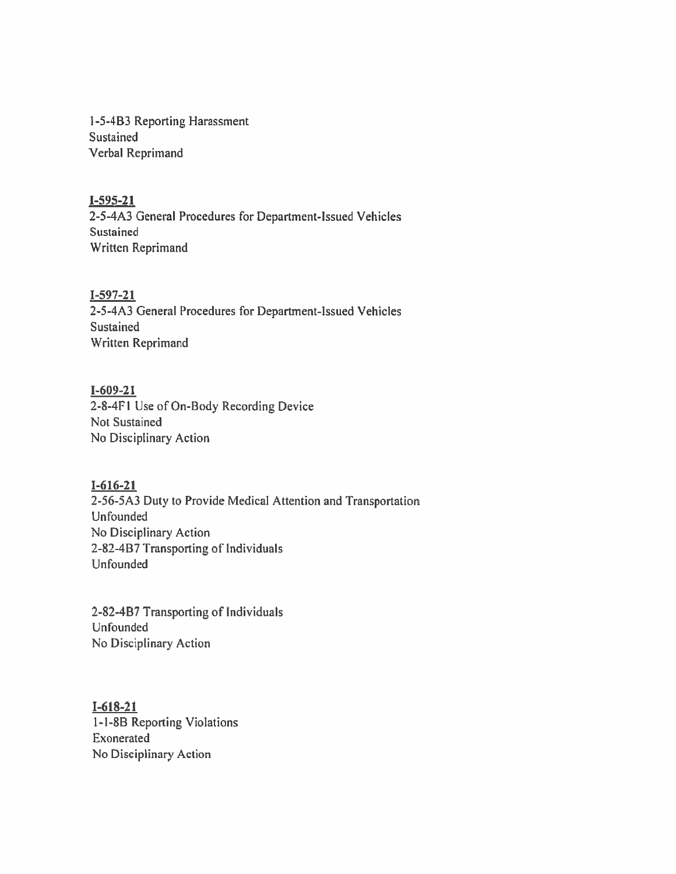1-5-4B3 Reporting Harassment Sustained Verbal Reprimand

#### $I-595-21$

2-5-4A3 General Procedures for Department-Issued Vehicles Sustained Written Reprimand

#### $I-597-21$

2-5-4A3 General Procedures for Department-Issued Vehicles Sustained Written Reprimand

#### $I - 609 - 21$

2-8-4F1 Use of On-Body Recording Device Not Sustained No Disciplinary Action

#### $I - 616 - 21$

2-56-5A3 Duty to Provide Medical Attention and Transportation Unfounded No Disciplinary Action 2-82-4B7 Transporting of Individuals Unfounded

2-82-4B7 Transporting of Individuals Unfounded No Disciplinary Action

#### $I-618-21$

1-1-8B Reporting Violations Exonerated No Disciplinary Action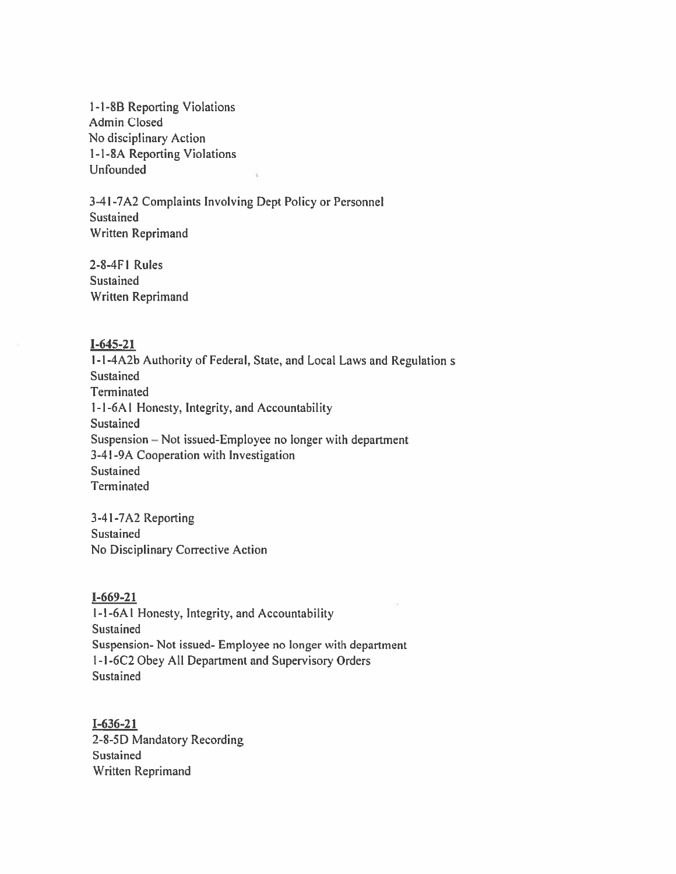1-1-8B Reporting Violations **Admin Closed** No disciplinary Action 1-1-8A Reporting Violations **Unfounded** 

3-41-7A2 Complaints Involving Dept Policy or Personnel Sustained Written Reprimand

 $2-8-4F1$  Rules Sustained **Written Reprimand** 

#### $I-645-21$

1-1-4A2b Authority of Federal, State, and Local Laws and Regulation s **Sustained** Terminated 1-1-6A1 Honesty, Integrity, and Accountability Sustained Suspension - Not issued-Employee no longer with department 3-41-9A Cooperation with Investigation Sustained Terminated

3-41-7A2 Reporting Sustained No Disciplinary Corrective Action

#### $I-669-21$

1-1-6A1 Honesty, Integrity, and Accountability Sustained Suspension- Not issued- Employee no longer with department 1-1-6C2 Obey All Department and Supervisory Orders Sustained

 $I-636-21$ 2-8-5D Mandatory Recording Sustained Written Reprimand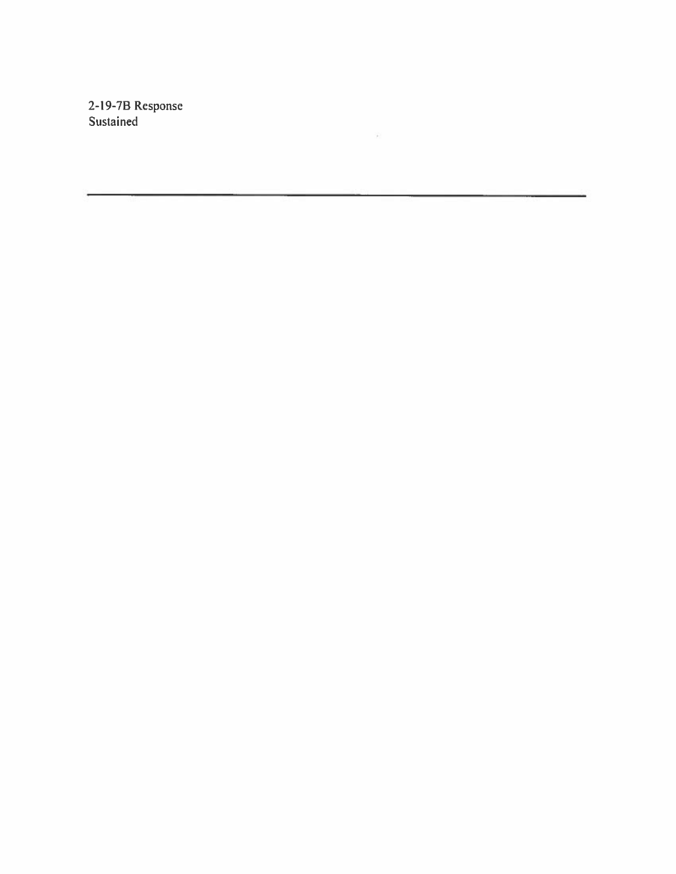2-19-7B Response<br>Sustained

 $\mathcal{L}^{\mathcal{L}}$  . The set of  $\mathcal{L}^{\mathcal{L}}$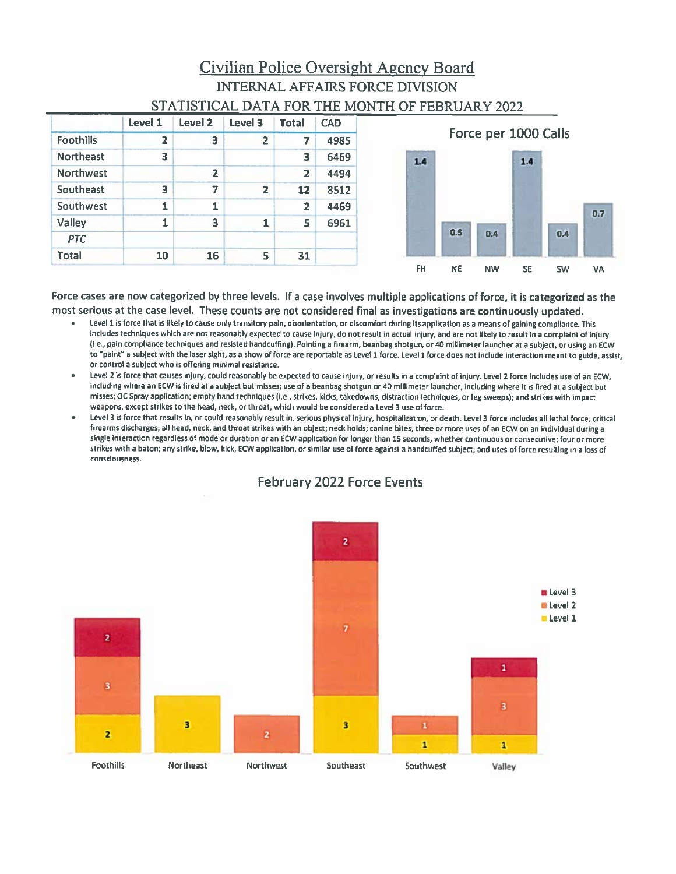## Civilian Police Oversight Agency Board **INTERNAL AFFAIRS FORCE DIVISION** STATISTICAL DATA FOR THE MONTH OF FEBRUARY 2022

|                  | <b>Level 1</b> | Level <sub>2</sub> | Level 3        | <b>Total</b>            | <b>CAD</b> |
|------------------|----------------|--------------------|----------------|-------------------------|------------|
| <b>Foothills</b> | 2              | з                  | 2              | 7                       | 4985       |
| <b>Northeast</b> | 3              |                    |                | 3                       | 6469       |
| <b>Northwest</b> |                | $\overline{2}$     |                | $\overline{z}$          | 4494       |
| Southeast        | 3              | 7                  | $\overline{z}$ | 12                      | 8512       |
| Southwest        | 1              | 1                  |                | $\overline{\mathbf{2}}$ | 4469       |
| Valley           | 1              | 3                  | 1              | 5                       | 6961       |
| <b>PTC</b>       |                |                    |                |                         |            |
| Total            | 10             | 16                 | 5              | 31                      |            |



Force cases are now categorized by three levels. If a case involves multiple applications of force, it is categorized as the most serious at the case level. These counts are not considered final as investigations are continuously updated.

- Level 1 is force that is likely to cause only transitory pain, disorientation, or discomfort during its application as a means of gaining compliance. This includes techniques which are not reasonably expected to cause injury, do not result in actual injury, and are not likely to result in a complaint of injury (i.e., pain compliance techniques and resisted handcuffing). Pointing a firearm, beanbag shotgun, or 40 millimeter launcher at a subject, or using an ECW to "paint" a subject with the laser sight, as a show of force are reportable as Level 1 force. Level 1 force does not include interaction meant to guide, assist, or control a subject who is offering minimal resistance.
- Level 2 is force that causes injury, could reasonably be expected to cause injury, or results in a complaint of injury. Level 2 force includes use of an ECW, including where an ECW is fired at a subject but misses; use of a beanbag shotgun or 40 millimeter launcher, including where it is fired at a subject but misses; OC Spray application; empty hand techniques (i.e., strikes, kicks, takedowns, distraction techniques, or leg sweeps); and strikes with impact weapons, except strikes to the head, neck, or throat, which would be considered a Level 3 use of force.
- Level 3 is force that results in, or could reasonably result in, serious physical injury, hospitalization, or death. Level 3 force includes all lethal force; critical firearms discharges; all head, neck, and throat strikes with an object; neck holds; canine bites; three or more uses of an ECW on an individual during a single interaction regardless of mode or duration or an ECW application for longer than 15 seconds, whether continuous or consecutive; four or more strikes with a baton; any strike, blow, kick, ECW application, or similar use of force against a handcuffed subject; and uses of force resulting in a loss of consciousness.



## **February 2022 Force Events**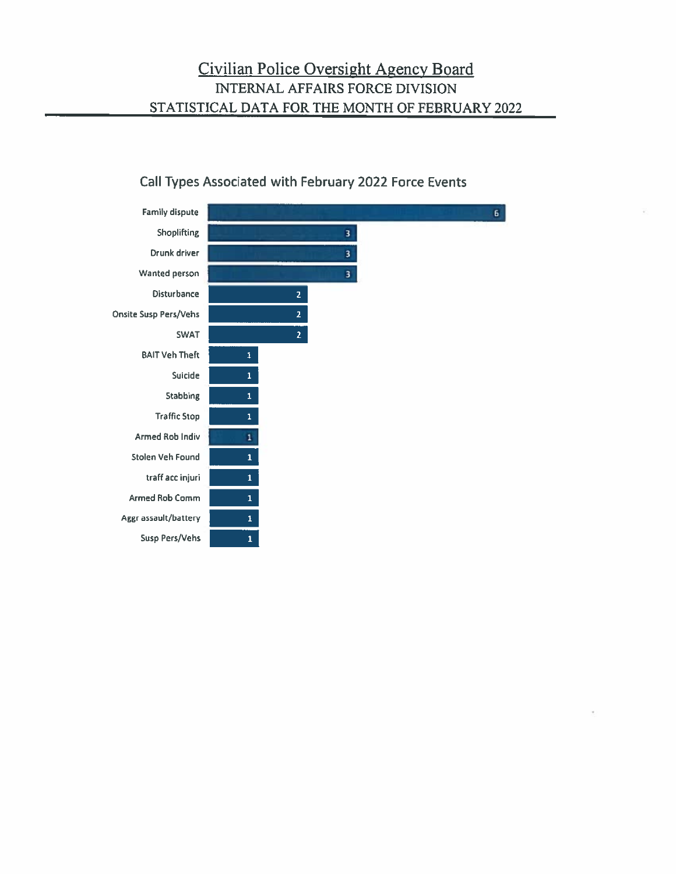#### **Family dispute**  $\mathbf{6}^{\top}$ Shoplifting  $\overline{\mathbf{3}}$ Drunk driver 3 Wanted person 3 Disturbance  $\overline{2}$ **Onsite Susp Pers/Vehs**  $\overline{2}$ SWAT  $\overline{2}$ **BAIT Veh Theft**  $\mathbf{1}$ Suicide  $\mathbf{1}$ **Stabbing**  $\bar{\mathbf{1}}$ **Traffic Stop**  $\mathbf{1}$ **Armed Rob Indiv**  $\mathbf{1}$ Stolen Veh Found  $\mathbf 1$ traff acc injuri  $\mathbf 1$ Armed Rob Comm Aggr assault/battery  $\mathbf 1$ Susp Pers/Vehs  $\mathbf{1}$

#### Call Types Associated with February 2022 Force Events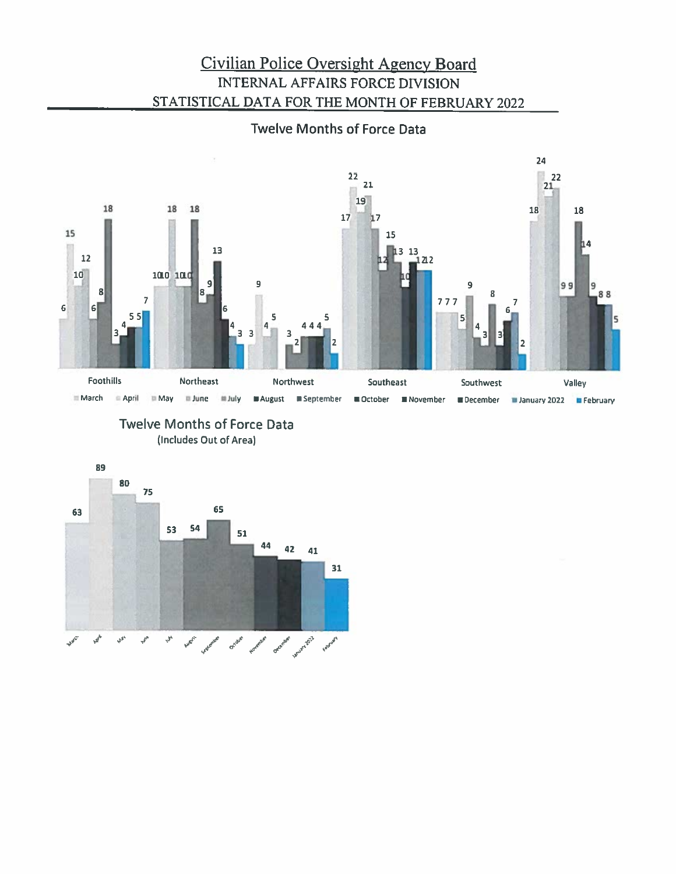## Civilian Police Oversight Agency Board **INTERNAL AFFAIRS FORCE DIVISION** STATISTICAL DATA FOR THE MONTH OF FEBRUARY 2022

### **Twelve Months of Force Data**



#### **Twelve Months of Force Data** (Includes Out of Area)

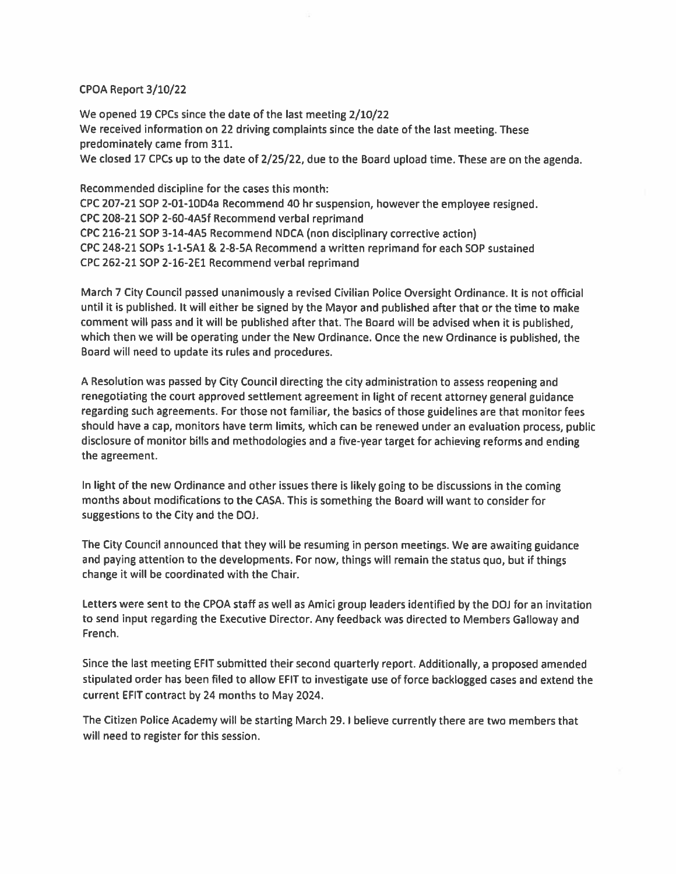#### CPOA Report 3/10/22

We opened 19 CPCs since the date of the last meeting 2/10/22 We received information on 22 driving complaints since the date of the last meeting. These predominately came from 311. We closed 17 CPCs up to the date of 2/25/22, due to the Board upload time. These are on the agenda.

Recommended discipline for the cases this month: CPC 207-21 SOP 2-01-10D4a Recommend 40 hr suspension, however the employee resigned. CPC 208-21 SOP 2-60-4A5f Recommend verbal reprimand CPC 216-21 SOP 3-14-4A5 Recommend NDCA (non disciplinary corrective action) CPC 248-21 SOPs 1-1-5A1 & 2-8-5A Recommend a written reprimand for each SOP sustained CPC 262-21 SOP 2-16-2E1 Recommend verbal reprimand

March 7 City Council passed unanimously a revised Civilian Police Oversight Ordinance. It is not official until it is published. It will either be signed by the Mayor and published after that or the time to make comment will pass and it will be published after that. The Board will be advised when it is published, which then we will be operating under the New Ordinance. Once the new Ordinance is published, the Board will need to update its rules and procedures.

A Resolution was passed by City Council directing the city administration to assess reopening and renegotiating the court approved settlement agreement in light of recent attorney general guidance regarding such agreements. For those not familiar, the basics of those guidelines are that monitor fees should have a cap, monitors have term limits, which can be renewed under an evaluation process, public disclosure of monitor bills and methodologies and a five-year target for achieving reforms and ending the agreement.

In light of the new Ordinance and other issues there is likely going to be discussions in the coming months about modifications to the CASA. This is something the Board will want to consider for suggestions to the City and the DOJ.

The City Council announced that they will be resuming in person meetings. We are awaiting guidance and paying attention to the developments. For now, things will remain the status quo, but if things change it will be coordinated with the Chair.

Letters were sent to the CPOA staff as well as Amici group leaders identified by the DOJ for an invitation to send input regarding the Executive Director. Any feedback was directed to Members Galloway and French.

Since the last meeting EFIT submitted their second quarterly report. Additionally, a proposed amended stipulated order has been filed to allow EFIT to investigate use of force backlogged cases and extend the current EFIT contract by 24 months to May 2024.

The Citizen Police Academy will be starting March 29. I believe currently there are two members that will need to register for this session.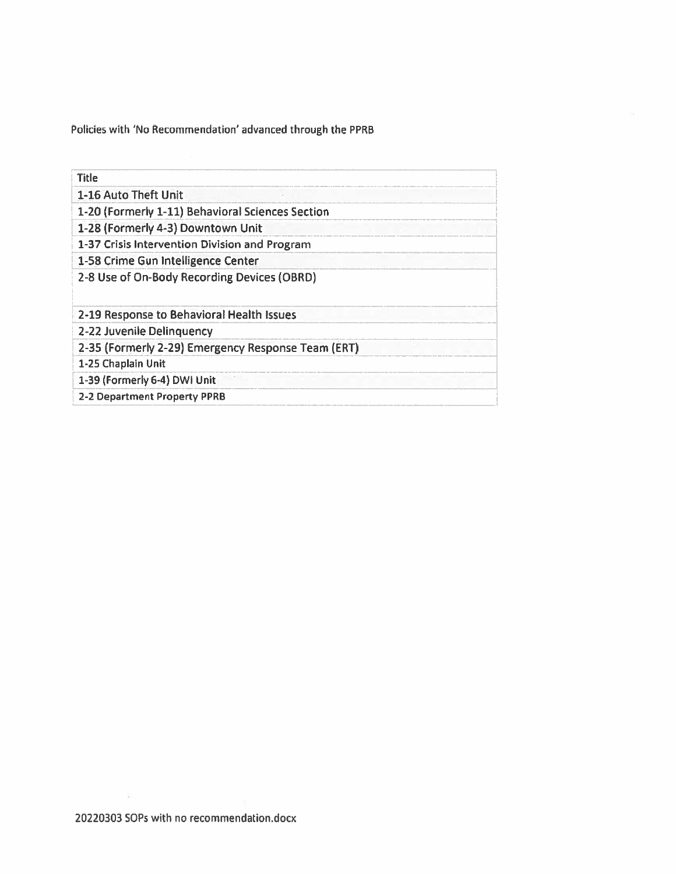Policies with 'No Recommendation' advanced through the PPRB

| <b>Title</b>                                       |
|----------------------------------------------------|
| 1-16 Auto Theft Unit                               |
| 1-20 (Formerly 1-11) Behavioral Sciences Section   |
| 1-28 (Formerly 4-3) Downtown Unit                  |
| 1-37 Crisis Intervention Division and Program      |
| 1-58 Crime Gun Intelligence Center                 |
| 2-8 Use of On-Body Recording Devices (OBRD)        |
| 2-19 Response to Behavioral Health Issues          |
| 2-22 Juvenile Delinguency                          |
| 2-35 (Formerly 2-29) Emergency Response Team (ERT) |
| 1-25 Chaplain Unit                                 |
| 1-39 (Formerly 6-4) DWI Unit                       |
| 2-2 Department Property PPRB                       |

 $\hat{\chi}_0$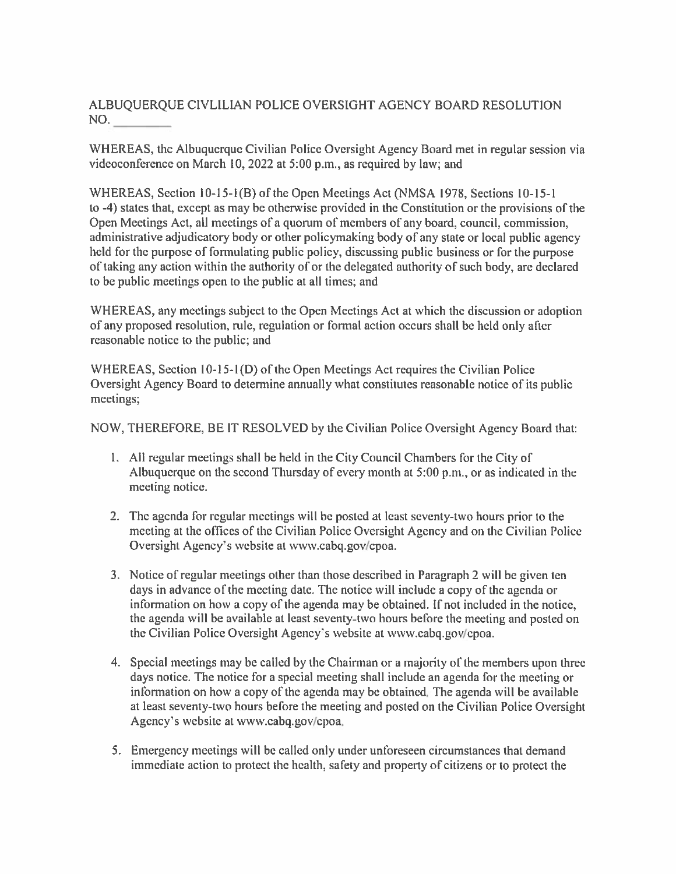ALBUQUERQUE CIVLILIAN POLICE OVERSIGHT AGENCY BOARD RESOLUTION NO.

WHEREAS, the Albuquerque Civilian Police Oversight Agency Board met in regular session via videoconference on March 10, 2022 at 5:00 p.m., as required by law; and

WHEREAS, Section 10-15-1(B) of the Open Meetings Act (NMSA 1978, Sections 10-15-1 to -4) states that, except as may be otherwise provided in the Constitution or the provisions of the Open Meetings Act, all meetings of a quorum of members of any board, council, commission, administrative adjudicatory body or other policymaking body of any state or local public agency held for the purpose of formulating public policy, discussing public business or for the purpose of taking any action within the authority of or the delegated authority of such body, are declared to be public meetings open to the public at all times; and

WHEREAS, any meetings subject to the Open Meetings Act at which the discussion or adoption of any proposed resolution, rule, regulation or formal action occurs shall be held only after reasonable notice to the public; and

WHEREAS, Section 10-15-1(D) of the Open Meetings Act requires the Civilian Police Oversight Agency Board to determine annually what constitutes reasonable notice of its public meetings;

NOW, THEREFORE, BE IT RESOLVED by the Civilian Police Oversight Agency Board that:

- 1. All regular meetings shall be held in the City Council Chambers for the City of Albuquerque on the second Thursday of every month at 5:00 p.m., or as indicated in the meeting notice.
- 2. The agenda for regular meetings will be posted at least seventy-two hours prior to the meeting at the offices of the Civilian Police Oversight Agency and on the Civilian Police Oversight Agency's website at www.cabq.gov/cpoa.
- 3. Notice of regular meetings other than those described in Paragraph 2 will be given ten days in advance of the meeting date. The notice will include a copy of the agenda or information on how a copy of the agenda may be obtained. If not included in the notice, the agenda will be available at least seventy-two hours before the meeting and posted on the Civilian Police Oversight Agency's website at www.cabq.gov/cpoa.
- 4. Special meetings may be called by the Chairman or a majority of the members upon three days notice. The notice for a special meeting shall include an agenda for the meeting or information on how a copy of the agenda may be obtained. The agenda will be available at least seventy-two hours before the meeting and posted on the Civilian Police Oversight Agency's website at www.cabq.gov/cpoa.
- 5. Emergency meetings will be called only under unforeseen circumstances that demand immediate action to protect the health, safety and property of citizens or to protect the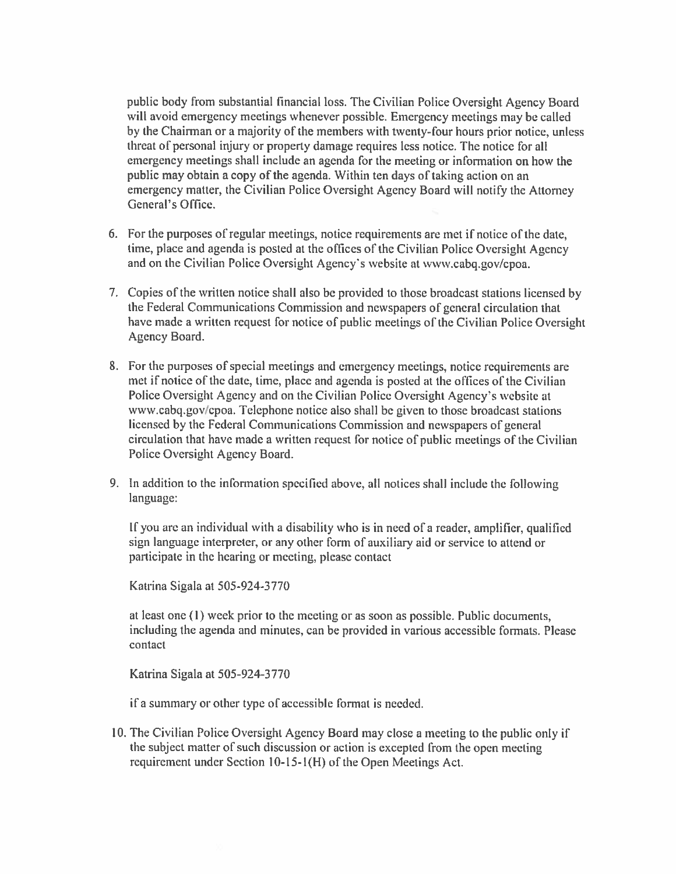public body from substantial financial loss. The Civilian Police Oversight Agency Board will avoid emergency meetings whenever possible. Emergency meetings may be called by the Chairman or a majority of the members with twenty-four hours prior notice, unless threat of personal injury or property damage requires less notice. The notice for all emergency meetings shall include an agenda for the meeting or information on how the public may obtain a copy of the agenda. Within ten days of taking action on an emergency matter, the Civilian Police Oversight Agency Board will notify the Attorney General's Office.

- 6. For the purposes of regular meetings, notice requirements are met if notice of the date, time, place and agenda is posted at the offices of the Civilian Police Oversight Agency and on the Civilian Police Oversight Agency's website at www.cabq.gov/cpoa.
- 7. Copies of the written notice shall also be provided to those broadcast stations licensed by the Federal Communications Commission and newspapers of general circulation that have made a written request for notice of public meetings of the Civilian Police Oversight Agency Board.
- 8. For the purposes of special meetings and emergency meetings, notice requirements are met if notice of the date, time, place and agenda is posted at the offices of the Civilian Police Oversight Agency and on the Civilian Police Oversight Agency's website at www.cabq.gov/cpoa. Telephone notice also shall be given to those broadcast stations licensed by the Federal Communications Commission and newspapers of general circulation that have made a written request for notice of public meetings of the Civilian Police Oversight Agency Board.
- 9. In addition to the information specified above, all notices shall include the following language:

If you are an individual with a disability who is in need of a reader, amplifier, qualified sign language interpreter, or any other form of auxiliary aid or service to attend or participate in the hearing or meeting, please contact

Katrina Sigala at 505-924-3770

at least one (1) week prior to the meeting or as soon as possible. Public documents, including the agenda and minutes, can be provided in various accessible formats. Please contact

Katrina Sigala at 505-924-3770

if a summary or other type of accessible format is needed.

10. The Civilian Police Oversight Agency Board may close a meeting to the public only if the subject matter of such discussion or action is excepted from the open meeting requirement under Section 10-15-1(H) of the Open Meetings Act.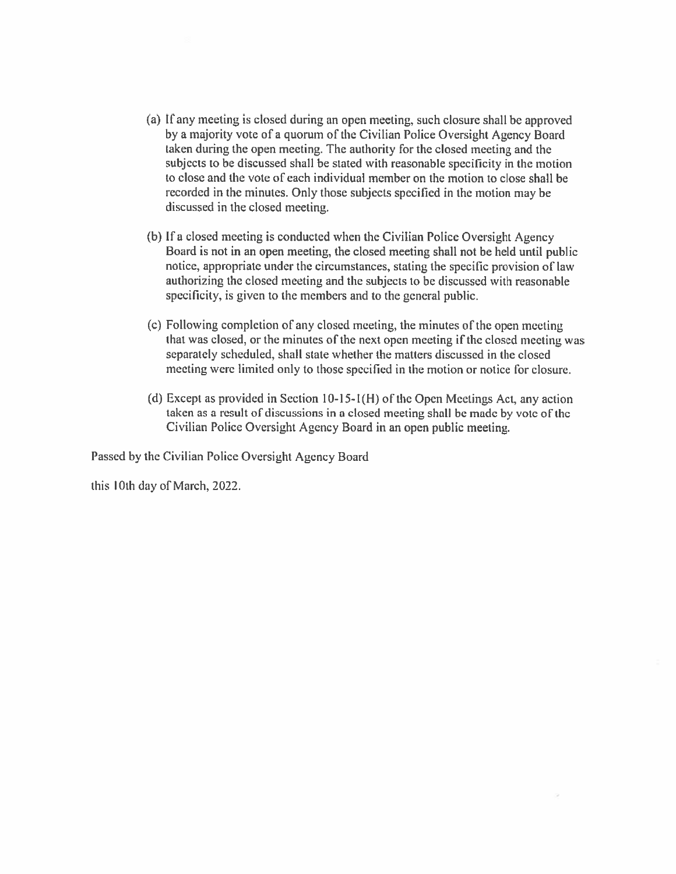- (a) If any meeting is closed during an open meeting, such closure shall be approved by a majority vote of a quorum of the Civilian Police Oversight Agency Board taken during the open meeting. The authority for the closed meeting and the subjects to be discussed shall be stated with reasonable specificity in the motion to close and the vote of each individual member on the motion to close shall be recorded in the minutes. Only those subjects specified in the motion may be discussed in the closed meeting.
- (b) If a closed meeting is conducted when the Civilian Police Oversight Agency Board is not in an open meeting, the closed meeting shall not be held until public notice, appropriate under the circumstances, stating the specific provision of law authorizing the closed meeting and the subjects to be discussed with reasonable specificity, is given to the members and to the general public.
- (c) Following completion of any closed meeting, the minutes of the open meeting that was closed, or the minutes of the next open meeting if the closed meeting was separately scheduled, shall state whether the matters discussed in the closed meeting were limited only to those specified in the motion or notice for closure.
- (d) Except as provided in Section  $10-15-1(H)$  of the Open Meetings Act, any action taken as a result of discussions in a closed meeting shall be made by vote of the Civilian Police Oversight Agency Board in an open public meeting.

Passed by the Civilian Police Oversight Agency Board

this 10th day of March, 2022.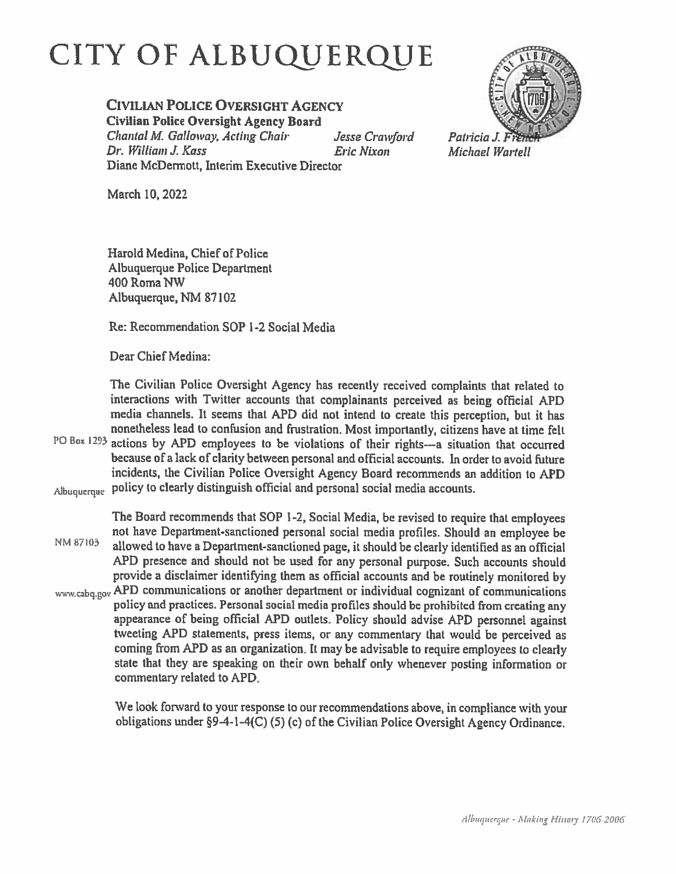## CITY OF ALBUQUERQUE

#### **CIVILIAN POLICE OVERSIGHT AGENCY**

**Civilian Police Oversight Agency Board** 

Chantal M. Galloway, Acting Chair Jesse Crawford Dr. William J. Kass **Eric Nixon** Diane McDermott, Interim Executive Director

Patricia J.

**Michael Wartell** 

March 10, 2022

Harold Medina, Chief of Police Albuquerque Police Department 400 Roma NW Albuquerque, NM 87102

Re: Recommendation SOP 1-2 Social Media

Dear Chief Medina:

The Civilian Police Oversight Agency has recently received complaints that related to interactions with Twitter accounts that complainants perceived as being official APD media channels. It seems that APD did not intend to create this perception, but it has nonetheless lead to confusion and frustration. Most importantly, citizens have at time felt PO Box 1293 actions by APD employees to be violations of their rights--- a situation that occurred because of a lack of clarity between personal and official accounts. In order to avoid future incidents, the Civilian Police Oversight Agency Board recommends an addition to APD Albuquerque policy to clearly distinguish official and personal social media accounts.

The Board recommends that SOP 1-2, Social Media, be revised to require that employees not have Department-sanctioned personal social media profiles. Should an employee be NM 87103 allowed to have a Department-sanctioned page, it should be clearly identified as an official APD presence and should not be used for any personal purpose. Such accounts should provide a disclaimer identifying them as official accounts and be routinely monitored by www.cabq.gov APD communications or another department or individual cognizant of communications policy and practices. Personal social media profiles should be prohibited from creating any appearance of being official APD outlets. Policy should advise APD personnel against tweeting APD statements, press items, or any commentary that would be perceived as coming from APD as an organization. It may be advisable to require employees to clearly state that they are speaking on their own behalf only whenever posting information or commentary related to APD.

> We look forward to your response to our recommendations above, in compliance with your obligations under §9-4-1-4(C) (5) (c) of the Civilian Police Oversight Agency Ordinance.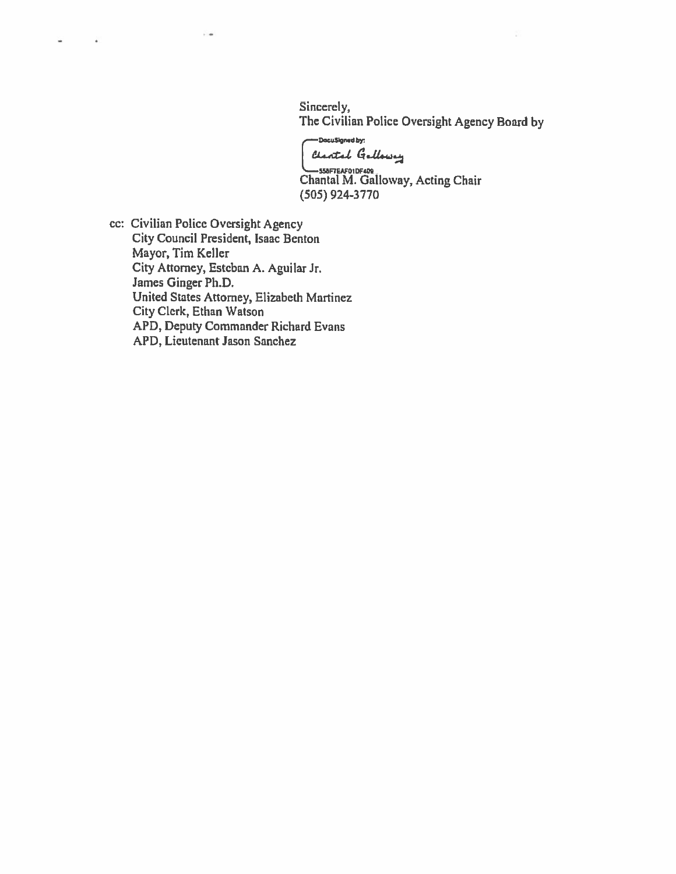Sincerely, The Civilian Police Oversight Agency Board by

-DocuSigned by: Clarital Galloway

Chantal M. Galloway, Acting Chair  $(505)$  924-3770

cc: Civilian Police Oversight Agency City Council President, Isaac Benton Mayor, Tim Keller City Attorney, Esteban A. Aguilar Jr. James Ginger Ph.D. United States Attorney, Elizabeth Martinez City Clerk, Ethan Watson APD, Deputy Commander Richard Evans APD, Lieutenant Jason Sanchez

 $\sim$ 

 $-$